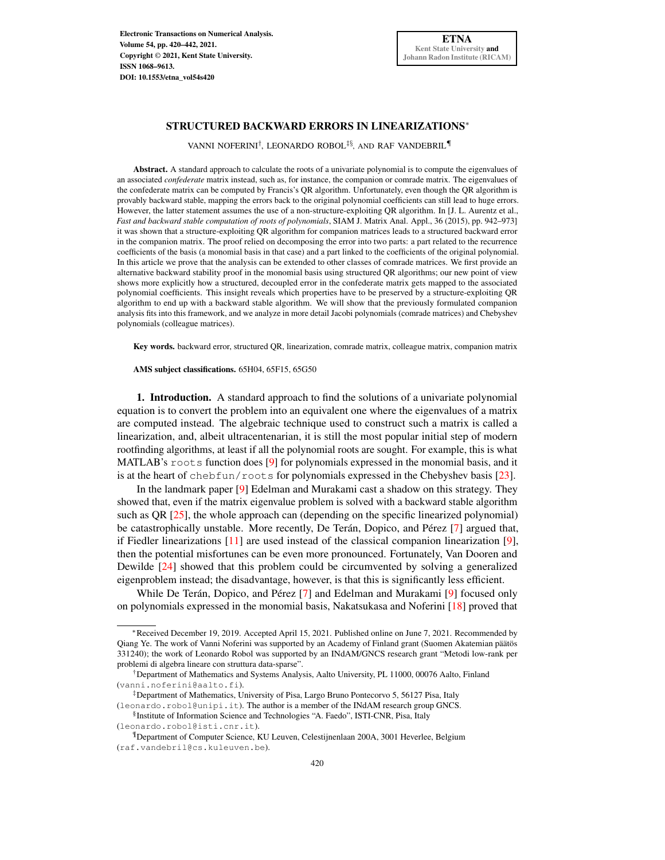## STRUCTURED BACKWARD ERRORS IN LINEARIZATIONS<sup>∗</sup>

VANNI NOFERINI† , LEONARDO ROBOL‡§, AND RAF VANDEBRIL¶

Abstract. A standard approach to calculate the roots of a univariate polynomial is to compute the eigenvalues of an associated *confederate* matrix instead, such as, for instance, the companion or comrade matrix. The eigenvalues of the confederate matrix can be computed by Francis's QR algorithm. Unfortunately, even though the QR algorithm is provably backward stable, mapping the errors back to the original polynomial coefficients can still lead to huge errors. However, the latter statement assumes the use of a non-structure-exploiting QR algorithm. In [J. L. Aurentz et al., *Fast and backward stable computation of roots of polynomials*, SIAM J. Matrix Anal. Appl., 36 (2015), pp. 942–973] it was shown that a structure-exploiting QR algorithm for companion matrices leads to a structured backward error in the companion matrix. The proof relied on decomposing the error into two parts: a part related to the recurrence coefficients of the basis (a monomial basis in that case) and a part linked to the coefficients of the original polynomial. In this article we prove that the analysis can be extended to other classes of comrade matrices. We first provide an alternative backward stability proof in the monomial basis using structured QR algorithms; our new point of view shows more explicitly how a structured, decoupled error in the confederate matrix gets mapped to the associated polynomial coefficients. This insight reveals which properties have to be preserved by a structure-exploiting QR algorithm to end up with a backward stable algorithm. We will show that the previously formulated companion analysis fits into this framework, and we analyze in more detail Jacobi polynomials (comrade matrices) and Chebyshev polynomials (colleague matrices).

Key words. backward error, structured QR, linearization, comrade matrix, colleague matrix, companion matrix

AMS subject classifications. 65H04, 65F15, 65G50

1. Introduction. A standard approach to find the solutions of a univariate polynomial equation is to convert the problem into an equivalent one where the eigenvalues of a matrix are computed instead. The algebraic technique used to construct such a matrix is called a linearization, and, albeit ultracentenarian, it is still the most popular initial step of modern rootfinding algorithms, at least if all the polynomial roots are sought. For example, this is what MATLAB's roots function does [\[9\]](#page-21-0) for polynomials expressed in the monomial basis, and it is at the heart of chebfun/roots for polynomials expressed in the Chebyshev basis [\[23\]](#page-22-0).

In the landmark paper [\[9\]](#page-21-0) Edelman and Murakami cast a shadow on this strategy. They showed that, even if the matrix eigenvalue problem is solved with a backward stable algorithm such as QR [\[25\]](#page-22-1), the whole approach can (depending on the specific linearized polynomial) be catastrophically unstable. More recently, De Terán, Dopico, and Pérez [\[7\]](#page-21-1) argued that, if Fiedler linearizations  $[11]$  are used instead of the classical companion linearization  $[9]$ , then the potential misfortunes can be even more pronounced. Fortunately, Van Dooren and Dewilde [\[24\]](#page-22-2) showed that this problem could be circumvented by solving a generalized eigenproblem instead; the disadvantage, however, is that this is significantly less efficient.

While De Terán, Dopico, and Pérez [\[7\]](#page-21-1) and Edelman and Murakami [\[9\]](#page-21-0) focused only on polynomials expressed in the monomial basis, Nakatsukasa and Noferini [\[18\]](#page-21-3) proved that

<sup>∗</sup>Received December 19, 2019. Accepted April 15, 2021. Published online on June 7, 2021. Recommended by Qiang Ye. The work of Vanni Noferini was supported by an Academy of Finland grant (Suomen Akatemian päätös 331240); the work of Leonardo Robol was supported by an INdAM/GNCS research grant "Metodi low-rank per problemi di algebra lineare con struttura data-sparse".

<sup>†</sup>Department of Mathematics and Systems Analysis, Aalto University, PL 11000, 00076 Aalto, Finland (vanni.noferini@aalto.fi).

<sup>‡</sup>Department of Mathematics, University of Pisa, Largo Bruno Pontecorvo 5, 56127 Pisa, Italy (leonardo.robol@unipi.it). The author is a member of the INdAM research group GNCS.

<sup>§</sup> Institute of Information Science and Technologies "A. Faedo", ISTI-CNR, Pisa, Italy (leonardo.robol@isti.cnr.it).

<sup>¶</sup>Department of Computer Science, KU Leuven, Celestijnenlaan 200A, 3001 Heverlee, Belgium (raf.vandebril@cs.kuleuven.be).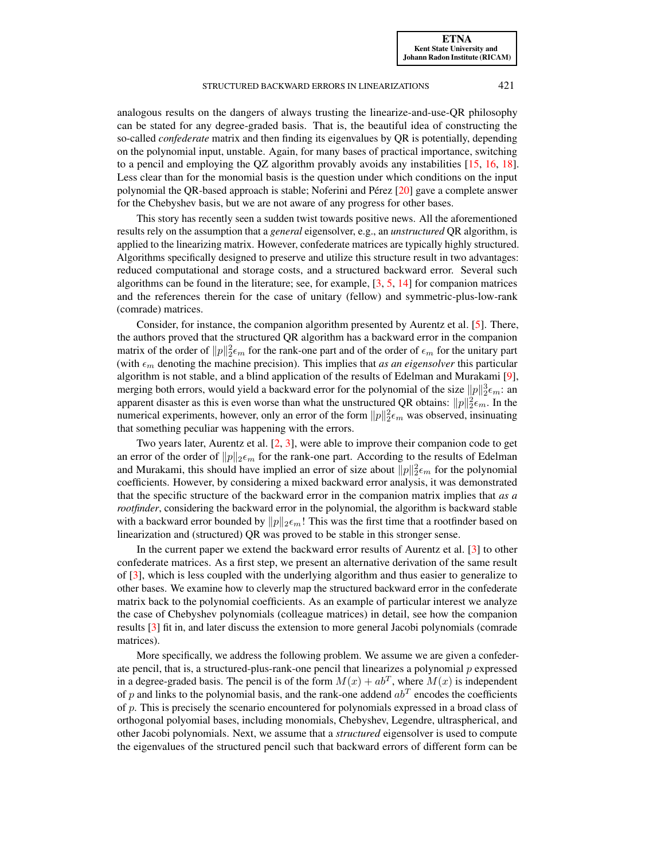[ETNA](http://etna.ricam.oeaw.ac.at) [Kent State University and](http://www.kent.edu) [Johann Radon Institute \(RICAM\)](http://www.ricam.oeaw.ac.at)

#### STRUCTURED BACKWARD ERRORS IN LINEARIZATIONS 421

analogous results on the dangers of always trusting the linearize-and-use-QR philosophy can be stated for any degree-graded basis. That is, the beautiful idea of constructing the so-called *confederate* matrix and then finding its eigenvalues by QR is potentially, depending on the polynomial input, unstable. Again, for many bases of practical importance, switching to a pencil and employing the QZ algorithm provably avoids any instabilities [\[15,](#page-21-4) [16,](#page-21-5) [18\]](#page-21-3). Less clear than for the monomial basis is the question under which conditions on the input polynomial the QR-based approach is stable; Noferini and Pérez [\[20\]](#page-22-3) gave a complete answer for the Chebyshev basis, but we are not aware of any progress for other bases.

This story has recently seen a sudden twist towards positive news. All the aforementioned results rely on the assumption that a *general* eigensolver, e.g., an *unstructured* QR algorithm, is applied to the linearizing matrix. However, confederate matrices are typically highly structured. Algorithms specifically designed to preserve and utilize this structure result in two advantages: reduced computational and storage costs, and a structured backward error. Several such algorithms can be found in the literature; see, for example, [\[3,](#page-21-6) [5,](#page-21-7) [14\]](#page-21-8) for companion matrices and the references therein for the case of unitary (fellow) and symmetric-plus-low-rank (comrade) matrices.

Consider, for instance, the companion algorithm presented by Aurentz et al. [\[5\]](#page-21-7). There, the authors proved that the structured QR algorithm has a backward error in the companion matrix of the order of  $||p||_2^2 \epsilon_m$  for the rank-one part and of the order of  $\epsilon_m$  for the unitary part (with  $\epsilon_m$  denoting the machine precision). This implies that *as an eigensolver* this particular algorithm is not stable, and a blind application of the results of Edelman and Murakami [\[9\]](#page-21-0), merging both errors, would yield a backward error for the polynomial of the size  $||p||_2^3 \epsilon_m$ : an apparent disaster as this is even worse than what the unstructured QR obtains:  $||p||_2^2 \epsilon_m$ . In the numerical experiments, however, only an error of the form  $||p||_2^2 \epsilon_m$  was observed, insinuating that something peculiar was happening with the errors.

Two years later, Aurentz et al. [\[2,](#page-21-9) [3\]](#page-21-6), were able to improve their companion code to get an error of the order of  $||p||_2 \epsilon_m$  for the rank-one part. According to the results of Edelman and Murakami, this should have implied an error of size about  $||p||_2^2 \epsilon_m$  for the polynomial coefficients. However, by considering a mixed backward error analysis, it was demonstrated that the specific structure of the backward error in the companion matrix implies that *as a rootfinder*, considering the backward error in the polynomial, the algorithm is backward stable with a backward error bounded by  $||p||_2 \epsilon_m$ ! This was the first time that a rootfinder based on linearization and (structured) QR was proved to be stable in this stronger sense.

In the current paper we extend the backward error results of Aurentz et al. [\[3\]](#page-21-6) to other confederate matrices. As a first step, we present an alternative derivation of the same result of [\[3\]](#page-21-6), which is less coupled with the underlying algorithm and thus easier to generalize to other bases. We examine how to cleverly map the structured backward error in the confederate matrix back to the polynomial coefficients. As an example of particular interest we analyze the case of Chebyshev polynomials (colleague matrices) in detail, see how the companion results [\[3\]](#page-21-6) fit in, and later discuss the extension to more general Jacobi polynomials (comrade matrices).

More specifically, we address the following problem. We assume we are given a confederate pencil, that is, a structured-plus-rank-one pencil that linearizes a polynomial  $p$  expressed in a degree-graded basis. The pencil is of the form  $M(x) + ab^T$ , where  $M(x)$  is independent of p and links to the polynomial basis, and the rank-one addend  $ab<sup>T</sup>$  encodes the coefficients of p. This is precisely the scenario encountered for polynomials expressed in a broad class of orthogonal polyomial bases, including monomials, Chebyshev, Legendre, ultraspherical, and other Jacobi polynomials. Next, we assume that a *structured* eigensolver is used to compute the eigenvalues of the structured pencil such that backward errors of different form can be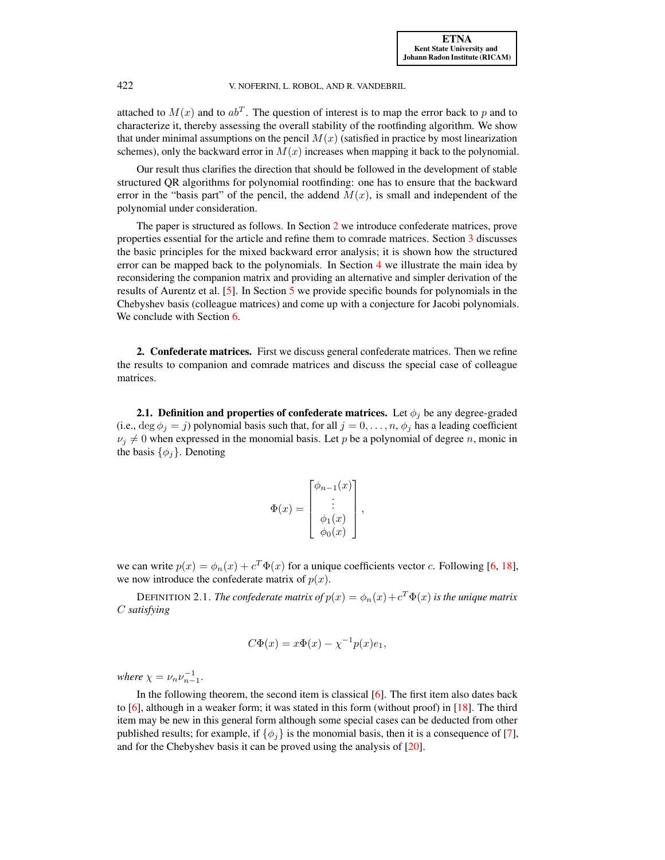attached to  $M(x)$  and to  $ab^T$ . The question of interest is to map the error back to p and to characterize it, thereby assessing the overall stability of the rootfinding algorithm. We show that under minimal assumptions on the pencil  $M(x)$  (satisfied in practice by most linearization schemes), only the backward error in  $M(x)$  increases when mapping it back to the polynomial.

Our result thus clarifies the direction that should be followed in the development of stable structured QR algorithms for polynomial rootfinding: one has to ensure that the backward error in the "basis part" of the pencil, the addend  $M(x)$ , is small and independent of the polynomial under consideration.

The paper is structured as follows. In Section [2](#page-2-0) we introduce confederate matrices, prove properties essential for the article and refine them to comrade matrices. Section [3](#page-5-0) discusses the basic principles for the mixed backward error analysis; it is shown how the structured error can be mapped back to the polynomials. In Section [4](#page-8-0) we illustrate the main idea by reconsidering the companion matrix and providing an alternative and simpler derivation of the results of Aurentz et al. [\[5\]](#page-21-7). In Section [5](#page-9-0) we provide specific bounds for polynomials in the Chebyshev basis (colleague matrices) and come up with a conjecture for Jacobi polynomials. We conclude with Section [6.](#page-20-0)

<span id="page-2-0"></span>2. Confederate matrices. First we discuss general confederate matrices. Then we refine the results to companion and comrade matrices and discuss the special case of colleague matrices.

2.1. Definition and properties of confederate matrices. Let  $\phi_j$  be any degree-graded (i.e.,  $\deg \phi_i = j$ ) polynomial basis such that, for all  $j = 0, \ldots, n$ ,  $\phi_j$  has a leading coefficient  $\nu_j \neq 0$  when expressed in the monomial basis. Let p be a polynomial of degree n, monic in the basis  $\{\phi_j\}$ . Denoting

$$
\Phi(x) = \begin{bmatrix} \phi_{n-1}(x) \\ \vdots \\ \phi_1(x) \\ \phi_0(x) \end{bmatrix},
$$

we can write  $p(x) = \phi_n(x) + c^T \Phi(x)$  for a unique coefficients vector c. Following [\[6,](#page-21-10) [18\]](#page-21-3), we now introduce the confederate matrix of  $p(x)$ .

DEFINITION 2.1. *The confederate matrix of*  $p(x) = \phi_n(x) + c^T \Phi(x)$  *is the unique matrix* C *satisfying*

$$
C\Phi(x) = x\Phi(x) - \chi^{-1}p(x)e_1,
$$

*where*  $\chi = \nu_n \nu_{n-1}^{-1}$ .

In the following theorem, the second item is classical [\[6\]](#page-21-10). The first item also dates back to  $[6]$ , although in a weaker form; it was stated in this form (without proof) in  $[18]$ . The third item may be new in this general form although some special cases can be deducted from other published results; for example, if  $\{\phi_j\}$  is the monomial basis, then it is a consequence of [\[7\]](#page-21-1), and for the Chebyshev basis it can be proved using the analysis of [\[20\]](#page-22-3).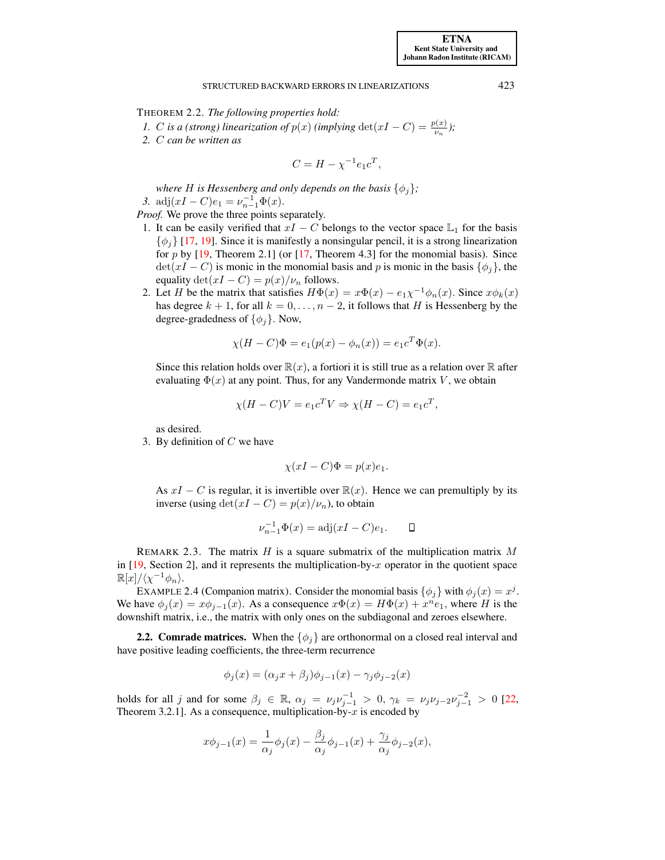<span id="page-3-0"></span>THEOREM 2.2. *The following properties hold:*

*1. C is a (strong) linearization of*  $p(x)$  *(implying* det $(xI - C) = \frac{p(x)}{v_n}$ *)*;

*2.* C *can be written as*

$$
C = H - \chi^{-1} e_1 c^T,
$$

*where H is Hessenberg and only depends on the basis*  $\{\phi_i\}$ ; *3.* adj $(xI - C)e_1 = \nu_{n-1}^{-1} \Phi(x)$ .

*Proof.* We prove the three points separately.

- 1. It can be easily verified that  $xI C$  belongs to the vector space  $\mathbb{L}_1$  for the basis  $\{\phi_i\}$  [\[17,](#page-21-11) [19\]](#page-21-12). Since it is manifestly a nonsingular pencil, it is a strong linearization for p by  $[19,$  Theorem 2.1] (or  $[17,$  Theorem 4.3] for the monomial basis). Since  $\det(xI - C)$  is monic in the monomial basis and p is monic in the basis  $\{\phi_i\}$ , the equality  $\det(xI - C) = p(x)/\nu_n$  follows.
- 2. Let H be the matrix that satisfies  $H\Phi(x) = x\Phi(x) e_1\chi^{-1}\phi_n(x)$ . Since  $x\phi_k(x)$ has degree  $k + 1$ , for all  $k = 0, \ldots, n - 2$ , it follows that H is Hessenberg by the degree-gradedness of  $\{\phi_i\}$ . Now,

$$
\chi(H - C)\Phi = e_1(p(x) - \phi_n(x)) = e_1 c^T \Phi(x).
$$

Since this relation holds over  $\mathbb{R}(x)$ , a fortiori it is still true as a relation over  $\mathbb R$  after evaluating  $\Phi(x)$  at any point. Thus, for any Vandermonde matrix V, we obtain

$$
\chi(H - C)V = e_1 c^T V \Rightarrow \chi(H - C) = e_1 c^T,
$$

as desired.

3. By definition of  $C$  we have

$$
\chi(xI - C)\Phi = p(x)e_1.
$$

As  $xI - C$  is regular, it is invertible over  $\mathbb{R}(x)$ . Hence we can premultiply by its inverse (using  $\det(xI - C) = p(x)/\nu_n$ ), to obtain

$$
\nu_{n-1}^{-1} \Phi(x) = adj(xI - C)e_1.
$$

REMARK 2.3. The matrix H is a square submatrix of the multiplication matrix M in  $[19, Section 2]$  $[19, Section 2]$ , and it represents the multiplication-by-x operator in the quotient space  $\mathbb{R}[x]/\langle \chi^{-1}\phi_n \rangle.$ 

<span id="page-3-1"></span>EXAMPLE 2.4 (Companion matrix). Consider the monomial basis  $\{\phi_j\}$  with  $\phi_j(x) = x^j$ . We have  $\phi_j(x) = x\phi_{j-1}(x)$ . As a consequence  $x\Phi(x) = H\Phi(x) + x^n e_1$ , where H is the downshift matrix, i.e., the matrix with only ones on the subdiagonal and zeroes elsewhere.

<span id="page-3-2"></span>**2.2. Comrade matrices.** When the  $\{\phi_i\}$  are orthonormal on a closed real interval and have positive leading coefficients, the three-term recurrence

$$
\phi_j(x) = (\alpha_j x + \beta_j)\phi_{j-1}(x) - \gamma_j\phi_{j-2}(x)
$$

holds for all j and for some  $\beta_j \in \mathbb{R}$ ,  $\alpha_j = \nu_j \nu_{j-1}^{-1} > 0$ ,  $\gamma_k = \nu_j \nu_{j-2} \nu_{j-1}^{-2} > 0$  [\[22,](#page-22-4) Theorem 3.2.1]. As a consequence, multiplication-by- $x$  is encoded by

$$
x\phi_{j-1}(x) = \frac{1}{\alpha_j}\phi_j(x) - \frac{\beta_j}{\alpha_j}\phi_{j-1}(x) + \frac{\gamma_j}{\alpha_j}\phi_{j-2}(x),
$$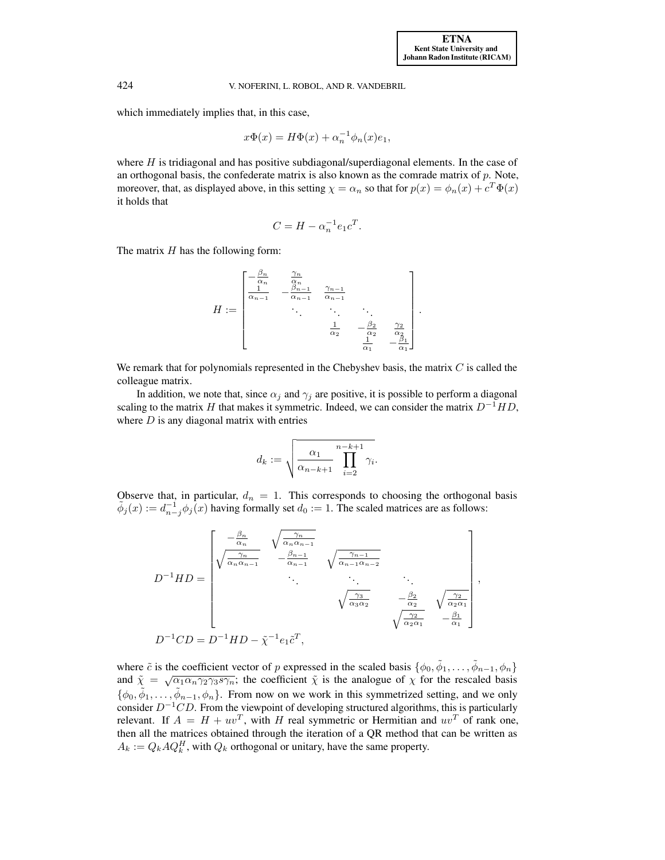which immediately implies that, in this case,

$$
x\Phi(x) = H\Phi(x) + \alpha_n^{-1}\phi_n(x)e_1,
$$

where  $H$  is tridiagonal and has positive subdiagonal/superdiagonal elements. In the case of an orthogonal basis, the confederate matrix is also known as the comrade matrix of  $p$ . Note, moreover, that, as displayed above, in this setting  $\chi = \alpha_n$  so that for  $p(x) = \phi_n(x) + c^T \Phi(x)$ it holds that

$$
C = H - \alpha_n^{-1} e_1 c^T.
$$

The matrix  $H$  has the following form:

$$
H := \begin{bmatrix} -\frac{\beta_n}{\alpha_n} & \frac{\gamma_n}{\alpha_n} \\ \frac{1}{\alpha_{n-1}} & -\frac{\beta_{n-1}}{\alpha_{n-1}} & \frac{\gamma_{n-1}}{\alpha_{n-1}} \\ \vdots & \vdots & \ddots & \vdots \\ \frac{1}{\alpha_2} & -\frac{\beta_2}{\alpha_2} & \frac{\gamma_2}{\alpha_2} \\ \frac{1}{\alpha_1} & -\frac{\beta_1}{\alpha_1} \end{bmatrix}.
$$

We remark that for polynomials represented in the Chebyshev basis, the matrix  $C$  is called the colleague matrix.

In addition, we note that, since  $\alpha_i$  and  $\gamma_i$  are positive, it is possible to perform a diagonal scaling to the matrix H that makes it symmetric. Indeed, we can consider the matrix  $D^{-1}HD$ , where  $D$  is any diagonal matrix with entries

$$
d_k := \sqrt{\frac{\alpha_1}{\alpha_{n-k+1}} \prod_{i=2}^{n-k+1} \gamma_i}.
$$

Observe that, in particular,  $d_n = 1$ . This corresponds to choosing the orthogonal basis  $\tilde{\phi}_j(x) := d_{n-j}^{-1} \phi_j(x)$  having formally set  $d_0 := 1$ . The scaled matrices are as follows:

$$
D^{-1}HD = \begin{bmatrix} -\frac{\beta_n}{\alpha_n} & \sqrt{\frac{\gamma_n}{\alpha_n \alpha_{n-1}}} & & \\ \sqrt{\frac{\gamma_n}{\alpha_n \alpha_{n-1}}} & -\frac{\beta_{n-1}}{\alpha_{n-1}} & \sqrt{\frac{\gamma_{n-1}}{\alpha_{n-1} \alpha_{n-2}}} & \\ & \ddots & \ddots & \ddots \\ & & \sqrt{\frac{\gamma_3}{\alpha_3 \alpha_2}} & -\frac{\beta_2}{\alpha_2} & \sqrt{\frac{\gamma_2}{\alpha_2 \alpha_1}} \\ & & \sqrt{\frac{\gamma_2}{\alpha_2 \alpha_1}} & -\frac{\beta_1}{\alpha_1} \end{bmatrix},
$$
  

$$
D^{-1}CD = D^{-1}HD - \tilde{\chi}^{-1}e_1\tilde{c}^T,
$$

where  $\tilde{c}$  is the coefficient vector of p expressed in the scaled basis  $\{\phi_0, \tilde{\phi}_1, \dots, \tilde{\phi}_{n-1}, \phi_n\}$ and  $\tilde{\chi} = \sqrt{\alpha_1 \alpha_n \gamma_2 \gamma_3 s \gamma_n}$ ; the coefficient  $\tilde{\chi}$  is the analogue of  $\chi$  for the rescaled basis  $\{\phi_0, \tilde{\phi}_1, \ldots, \tilde{\phi}_{n-1}, \phi_n\}$ . From now on we work in this symmetrized setting, and we only consider  $D^{-1}CD$ . From the viewpoint of developing structured algorithms, this is particularly relevant. If  $A = H + uv^T$ , with H real symmetric or Hermitian and  $uv^T$  of rank one, then all the matrices obtained through the iteration of a QR method that can be written as  $A_k := Q_k A Q_k^H$ , with  $Q_k$  orthogonal or unitary, have the same property.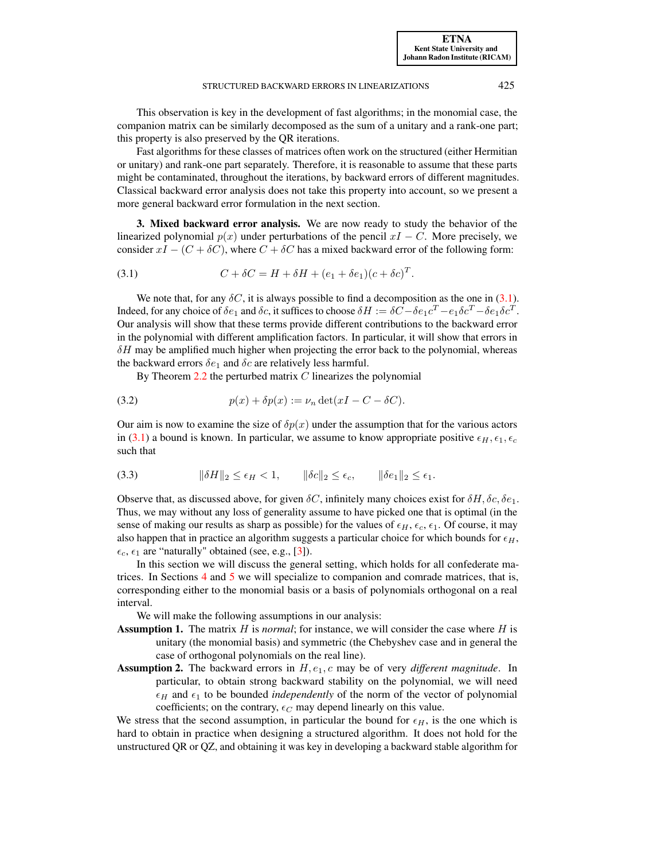[ETNA](http://etna.ricam.oeaw.ac.at) [Kent State University and](http://www.kent.edu) [Johann Radon Institute \(RICAM\)](http://www.ricam.oeaw.ac.at)

<span id="page-5-2"></span><span id="page-5-1"></span>.

This observation is key in the development of fast algorithms; in the monomial case, the companion matrix can be similarly decomposed as the sum of a unitary and a rank-one part; this property is also preserved by the QR iterations.

Fast algorithms for these classes of matrices often work on the structured (either Hermitian or unitary) and rank-one part separately. Therefore, it is reasonable to assume that these parts might be contaminated, throughout the iterations, by backward errors of different magnitudes. Classical backward error analysis does not take this property into account, so we present a more general backward error formulation in the next section.

<span id="page-5-0"></span>3. Mixed backward error analysis. We are now ready to study the behavior of the linearized polynomial  $p(x)$  under perturbations of the pencil  $xI - C$ . More precisely, we consider  $xI - (C + \delta C)$ , where  $C + \delta C$  has a mixed backward error of the following form:

(3.1) 
$$
C + \delta C = H + \delta H + (e_1 + \delta e_1)(c + \delta c)^T
$$

We note that, for any  $\delta C$ , it is always possible to find a decomposition as the one in [\(3.1\)](#page-5-1). Indeed, for any choice of  $\delta e_1$  and  $\delta c$ , it suffices to choose  $\delta H := \delta C - \delta e_1 c^T - e_1 \delta c^T - \delta e_1 \delta c^T$ . Our analysis will show that these terms provide different contributions to the backward error in the polynomial with different amplification factors. In particular, it will show that errors in  $\delta H$  may be amplified much higher when projecting the error back to the polynomial, whereas the backward errors  $\delta e_1$  and  $\delta c$  are relatively less harmful.

By Theorem  $2.2$  the perturbed matrix  $C$  linearizes the polynomial

(3.2) 
$$
p(x) + \delta p(x) := \nu_n \det(xI - C - \delta C).
$$

<span id="page-5-3"></span>Our aim is now to examine the size of  $\delta p(x)$  under the assumption that for the various actors in [\(3.1\)](#page-5-1) a bound is known. In particular, we assume to know appropriate positive  $\epsilon_H$ ,  $\epsilon_1$ ,  $\epsilon_c$ such that

$$
(3.3) \t\t\t ||\delta H||_2 \le \epsilon_H < 1, \t\t ||\delta c||_2 \le \epsilon_c, \t\t ||\delta e_1||_2 \le \epsilon_1.
$$

Observe that, as discussed above, for given  $\delta C$ , infinitely many choices exist for  $\delta H$ ,  $\delta c$ ,  $\delta \epsilon_1$ . Thus, we may without any loss of generality assume to have picked one that is optimal (in the sense of making our results as sharp as possible) for the values of  $\epsilon_H$ ,  $\epsilon_c$ ,  $\epsilon_1$ . Of course, it may also happen that in practice an algorithm suggests a particular choice for which bounds for  $\epsilon_H$ ,  $\epsilon_c$ ,  $\epsilon_1$  are "naturally" obtained (see, e.g., [\[3\]](#page-21-6)).

In this section we will discuss the general setting, which holds for all confederate matrices. In Sections [4](#page-8-0) and [5](#page-9-0) we will specialize to companion and comrade matrices, that is, corresponding either to the monomial basis or a basis of polynomials orthogonal on a real interval.

We will make the following assumptions in our analysis:

- Assumption 1. The matrix H is *normal*; for instance, we will consider the case where H is unitary (the monomial basis) and symmetric (the Chebyshev case and in general the case of orthogonal polynomials on the real line).
- Assumption 2. The backward errors in  $H, e_1, c$  may be of very *different magnitude*. In particular, to obtain strong backward stability on the polynomial, we will need  $\epsilon_H$  and  $\epsilon_1$  to be bounded *independently* of the norm of the vector of polynomial coefficients; on the contrary,  $\epsilon_C$  may depend linearly on this value.

We stress that the second assumption, in particular the bound for  $\epsilon_H$ , is the one which is hard to obtain in practice when designing a structured algorithm. It does not hold for the unstructured QR or QZ, and obtaining it was key in developing a backward stable algorithm for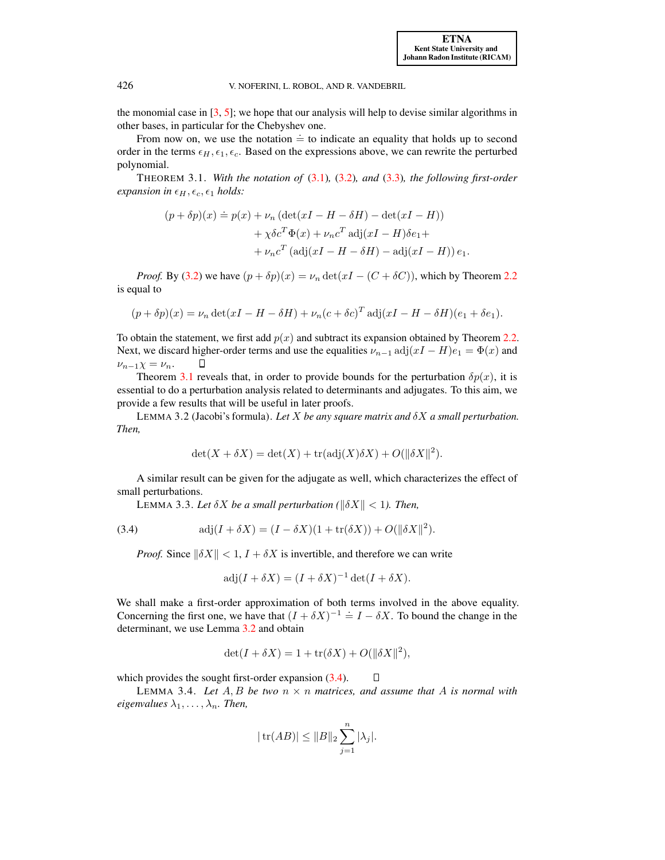the monomial case in  $[3, 5]$  $[3, 5]$  $[3, 5]$ ; we hope that our analysis will help to devise similar algorithms in other bases, in particular for the Chebyshev one.

From now on, we use the notation  $\dot{=}$  to indicate an equality that holds up to second order in the terms  $\epsilon_H$ ,  $\epsilon_1$ ,  $\epsilon_c$ . Based on the expressions above, we can rewrite the perturbed polynomial.

THEOREM 3.1. *With the notation of* [\(3.1\)](#page-5-1)*,* [\(3.2\)](#page-5-2)*, and* [\(3.3\)](#page-5-3)*, the following first-order expansion in*  $\epsilon_H$ ,  $\epsilon_c$ ,  $\epsilon_1$  *holds:* 

<span id="page-6-0"></span>
$$
(p + \delta p)(x) \doteq p(x) + \nu_n (\det(xI - H - \delta H) - \det(xI - H))
$$
  
+  $\chi \delta c^T \Phi(x) + \nu_n c^T \operatorname{adj}(xI - H) \delta e_1 +$   
+  $\nu_n c^T (\operatorname{adj}(xI - H - \delta H) - \operatorname{adj}(xI - H)) e_1.$ 

*Proof.* By [\(3.2\)](#page-5-2) we have  $(p + \delta p)(x) = \nu_n \det(xI - (C + \delta C))$ , which by Theorem [2.2](#page-3-0) is equal to

$$
(p + \delta p)(x) = \nu_n \det(xI - H - \delta H) + \nu_n (c + \delta c)^T \operatorname{adj}(xI - H - \delta H)(e_1 + \delta e_1).
$$

To obtain the statement, we first add  $p(x)$  and subtract its expansion obtained by Theorem [2.2.](#page-3-0) Next, we discard higher-order terms and use the equalities  $\nu_{n-1}$  adj $(xI - H)e_1 = \Phi(x)$  and О  $\nu_{n-1}\chi = \nu_n$ .

Theorem [3.1](#page-6-0) reveals that, in order to provide bounds for the perturbation  $\delta p(x)$ , it is essential to do a perturbation analysis related to determinants and adjugates. To this aim, we provide a few results that will be useful in later proofs.

<span id="page-6-1"></span>LEMMA 3.2 (Jacobi's formula). *Let* X *be any square matrix and* δX *a small perturbation. Then,*

$$
\det(X + \delta X) = \det(X) + \operatorname{tr}(\operatorname{adj}(X)\delta X) + O(\|\delta X\|^2).
$$

A similar result can be given for the adjugate as well, which characterizes the effect of small perturbations.

<span id="page-6-4"></span>LEMMA 3.3. Let  $\delta X$  be a small perturbation ( $\|\delta X\|$  < 1). Then,

(3.4) 
$$
\text{adj}(I + \delta X) = (I - \delta X)(1 + \text{tr}(\delta X)) + O(\|\delta X\|^2).
$$

*Proof.* Since  $\|\delta X\| < 1$ ,  $I + \delta X$  is invertible, and therefore we can write

$$
adj(I + \delta X) = (I + \delta X)^{-1} det(I + \delta X).
$$

We shall make a first-order approximation of both terms involved in the above equality. Concerning the first one, we have that  $(I + \delta X)^{-1} = I - \delta X$ . To bound the change in the determinant, we use Lemma [3.2](#page-6-1) and obtain

$$
\det(I + \delta X) = 1 + \text{tr}(\delta X) + O(||\delta X||^2),
$$

which provides the sought first-order expansion  $(3.4)$ .

<span id="page-6-3"></span>LEMMA 3.4. Let  $A$ ,  $B$  be two  $n \times n$  matrices, and assume that  $A$  is normal with *eigenvalues*  $\lambda_1, \ldots, \lambda_n$ *. Then,* 

<span id="page-6-2"></span> $\Box$ 

$$
|\operatorname{tr}(AB)| \leq ||B||_2 \sum_{j=1}^n |\lambda_j|.
$$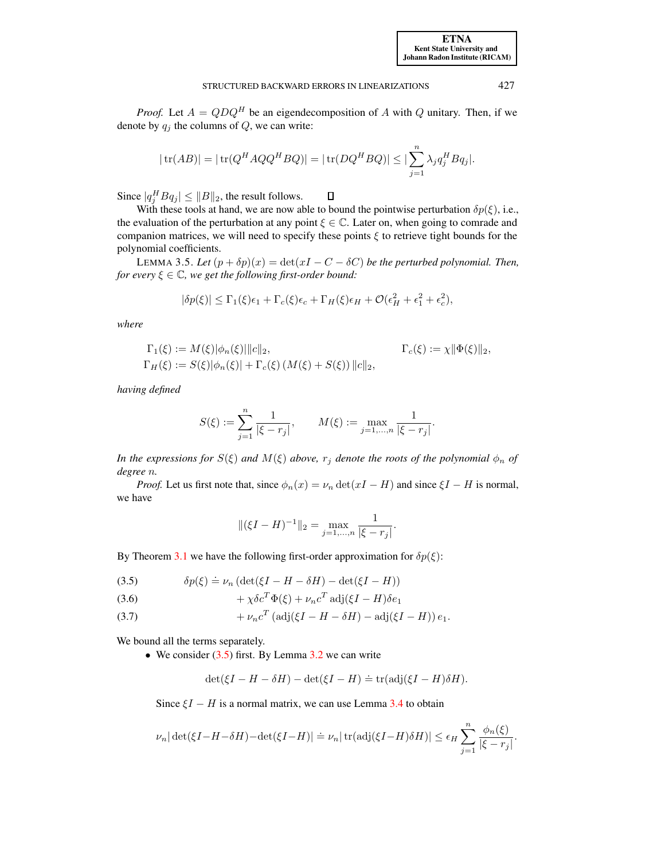*Proof.* Let  $A = QDQ^H$  be an eigendecomposition of A with Q unitary. Then, if we denote by  $q_i$  the columns of  $Q$ , we can write:

$$
|\operatorname{tr}(AB)| = |\operatorname{tr}(Q^H A Q Q^H B Q)| = |\operatorname{tr}(D Q^H B Q)| \le |\sum_{j=1}^n \lambda_j q_j^H B q_j|.
$$

Since  $|q_j^H B q_j| \leq ||B||_2$ , the result follows.  $\Box$ 

With these tools at hand, we are now able to bound the pointwise perturbation  $\delta p(\xi)$ , i.e., the evaluation of the perturbation at any point  $\xi \in \mathbb{C}$ . Later on, when going to comrade and companion matrices, we will need to specify these points  $\xi$  to retrieve tight bounds for the polynomial coefficients.

<span id="page-7-3"></span>LEMMA 3.5. Let  $(p + \delta p)(x) = \det(xI - C - \delta C)$  be the perturbed polynomial. Then, *for every*  $\xi \in \mathbb{C}$ *, we get the following first-order bound:* 

$$
|\delta p(\xi)| \leq \Gamma_1(\xi)\epsilon_1 + \Gamma_c(\xi)\epsilon_c + \Gamma_H(\xi)\epsilon_H + \mathcal{O}(\epsilon_H^2 + \epsilon_1^2 + \epsilon_c^2),
$$

*where*

$$
\Gamma_1(\xi) := M(\xi) |\phi_n(\xi)| ||c||_2, \qquad \qquad \Gamma_c(\xi) := \chi ||\Phi(\xi)||_2,
$$
  
\n
$$
\Gamma_H(\xi) := S(\xi) |\phi_n(\xi)| + \Gamma_c(\xi) (M(\xi) + S(\xi)) ||c||_2,
$$

*having defined*

$$
S(\xi) := \sum_{j=1}^{n} \frac{1}{|\xi - r_j|}, \qquad M(\xi) := \max_{j=1,\dots,n} \frac{1}{|\xi - r_j|}.
$$

*In the expressions for*  $S(\xi)$  *and*  $M(\xi)$  *above,*  $r_j$  *denote the roots of the polynomial*  $\phi_n$  *of degree* n*.*

*Proof.* Let us first note that, since  $\phi_n(x) = \nu_n \det(xI - H)$  and since  $\xi I - H$  is normal, we have

$$
\| (\xi I - H)^{-1} \|_2 = \max_{j=1,\dots,n} \frac{1}{|\xi - r_j|}.
$$

By Theorem [3.1](#page-6-0) we have the following first-order approximation for  $\delta p(\xi)$ :

<span id="page-7-0"></span>(3.5) 
$$
\delta p(\xi) \doteq \nu_n \left( \det(\xi I - H - \delta H) - \det(\xi I - H) \right)
$$

<span id="page-7-1"></span>(3.6) 
$$
+ \chi \delta c^T \Phi(\xi) + \nu_n c^T \operatorname{adj}(\xi I - H) \delta e_1
$$

<span id="page-7-2"></span>(3.7) 
$$
+ \nu_n c^T (\text{adj}(\xi I - H - \delta H) - \text{adj}(\xi I - H)) e_1.
$$

We bound all the terms separately.

• We consider  $(3.5)$  first. By Lemma  $3.2$  we can write

$$
\det(\xi I - H - \delta H) - \det(\xi I - H) \doteq \text{tr}(\text{adj}(\xi I - H)\delta H).
$$

Since  $\xi I - H$  is a normal matrix, we can use Lemma [3.4](#page-6-3) to obtain

$$
\nu_n |\det(\xi I - H - \delta H) - \det(\xi I - H)| = \nu_n |\operatorname{tr}(\operatorname{adj}(\xi I - H) \delta H)| \le \epsilon_H \sum_{j=1}^n \frac{\phi_n(\xi)}{|\xi - r_j|}.
$$

[ETNA](http://etna.ricam.oeaw.ac.at) [Kent State University and](http://www.kent.edu) [Johann Radon Institute \(RICAM\)](http://www.ricam.oeaw.ac.at)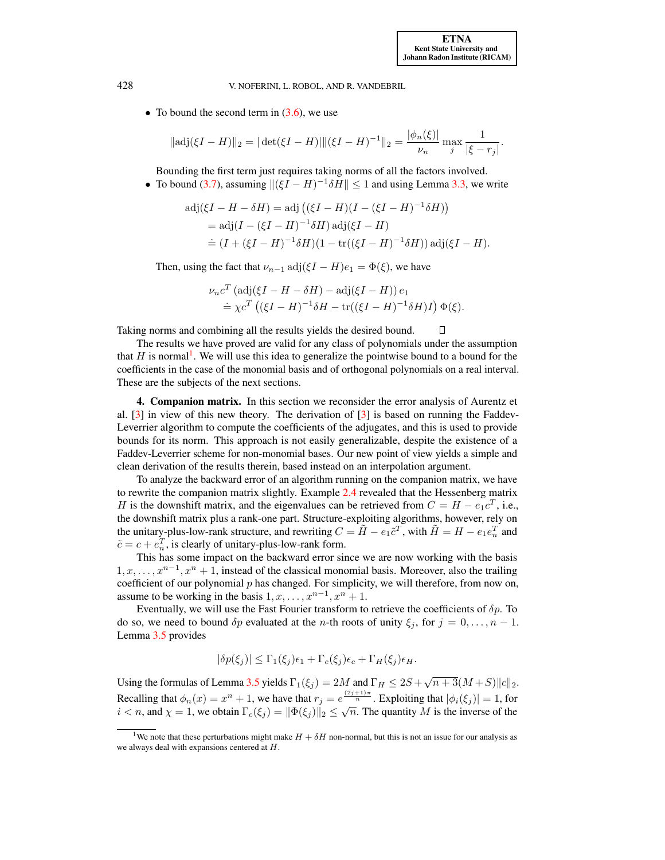• To bound the second term in  $(3.6)$ , we use

$$
\|\operatorname{adj}(\xi I - H)\|_2 = |\operatorname{det}(\xi I - H)| \|(\xi I - H)^{-1}\|_2 = \frac{|\phi_n(\xi)|}{\nu_n} \max_j \frac{1}{|\xi - r_j|}.
$$

Bounding the first term just requires taking norms of all the factors involved.

• To bound [\(3.7\)](#page-7-2), assuming  $\| (\xi I - H)^{-1} \delta H \| \leq 1$  and using Lemma [3.3,](#page-6-4) we write

$$
adj(\xi I - H - \delta H) = adj ((\xi I - H)(I - (\xi I - H)^{-1} \delta H))
$$
  
= adj(I - (\xi I - H)^{-1} \delta H) adj(\xi I - H)  

$$
\doteq (I + (\xi I - H)^{-1} \delta H)(1 - \text{tr}((\xi I - H)^{-1} \delta H)) adj(\xi I - H).
$$

Then, using the fact that  $\nu_{n-1}$  adj $(\xi I - H)e_1 = \Phi(\xi)$ , we have

$$
\nu_n c^T (\text{adj}(\xi I - H - \delta H) - \text{adj}(\xi I - H)) e_1
$$
  
\n
$$
\doteq \chi c^T ((\xi I - H)^{-1} \delta H - \text{tr}((\xi I - H)^{-1} \delta H) I) \Phi(\xi).
$$

Taking norms and combining all the results yields the desired bound.  $\Box$ 

The results we have proved are valid for any class of polynomials under the assumption that  $H$  is normal<sup>[1](#page-8-1)</sup>. We will use this idea to generalize the pointwise bound to a bound for the coefficients in the case of the monomial basis and of orthogonal polynomials on a real interval. These are the subjects of the next sections.

<span id="page-8-0"></span>4. Companion matrix. In this section we reconsider the error analysis of Aurentz et al.  $\lceil 3 \rceil$  in view of this new theory. The derivation of  $\lceil 3 \rceil$  is based on running the Faddev-Leverrier algorithm to compute the coefficients of the adjugates, and this is used to provide bounds for its norm. This approach is not easily generalizable, despite the existence of a Faddev-Leverrier scheme for non-monomial bases. Our new point of view yields a simple and clean derivation of the results therein, based instead on an interpolation argument.

To analyze the backward error of an algorithm running on the companion matrix, we have to rewrite the companion matrix slightly. Example [2.4](#page-3-1) revealed that the Hessenberg matrix H is the downshift matrix, and the eigenvalues can be retrieved from  $C = H - e_1 c^T$ , i.e., the downshift matrix plus a rank-one part. Structure-exploiting algorithms, however, rely on the unitary-plus-low-rank structure, and rewriting  $C = \tilde{H} - e_1 \tilde{c}^T$ , with  $\tilde{H} = H - e_1 e_n^T$  and  $\tilde{c} = c + e_n^T$ , is clearly of unitary-plus-low-rank form.

This has some impact on the backward error since we are now working with the basis  $1, x, \ldots, x^{n-1}, x^n + 1$ , instead of the classical monomial basis. Moreover, also the trailing coefficient of our polynomial  $p$  has changed. For simplicity, we will therefore, from now on, assume to be working in the basis  $1, x, \ldots, x^{n-1}, x^n + 1$ .

Eventually, we will use the Fast Fourier transform to retrieve the coefficients of  $\delta p$ . To do so, we need to bound  $\delta p$  evaluated at the *n*-th roots of unity  $\xi_i$ , for  $j = 0, \ldots, n - 1$ . Lemma [3.5](#page-7-3) provides

$$
|\delta p(\xi_j)| \leq \Gamma_1(\xi_j)\epsilon_1 + \Gamma_c(\xi_j)\epsilon_c + \Gamma_H(\xi_j)\epsilon_H.
$$

Using the formulas of Lemma [3.5](#page-7-3) yields  $\Gamma_1(\xi_j) = 2M$  and  $\Gamma_H \le 2S + \sqrt{n+3}(M+S) ||c||_2$ . Recalling that  $\phi_n(x) = x^n + 1$ , we have that  $r_j = e^{\frac{(2j+1)\pi}{n}}$ . Exploiting that  $|\phi_i(\xi_j)| = 1$ , for **Example 12 i**  $\forall n_i(x) = x^{n_i} + 1$ , we have that  $r_j = e^{-n_i}$ . Exploiting that  $|\psi_i(\zeta_j)| = 1$ , for  $i < n$ , and  $\chi = 1$ , we obtain  $\Gamma_c(\xi_j) = ||\Phi(\xi_j)||_2 \leq \sqrt{n}$ . The quantity *M* is the inverse of the

<span id="page-8-1"></span><sup>&</sup>lt;sup>1</sup>We note that these perturbations might make  $H + \delta H$  non-normal, but this is not an issue for our analysis as we always deal with expansions centered at H.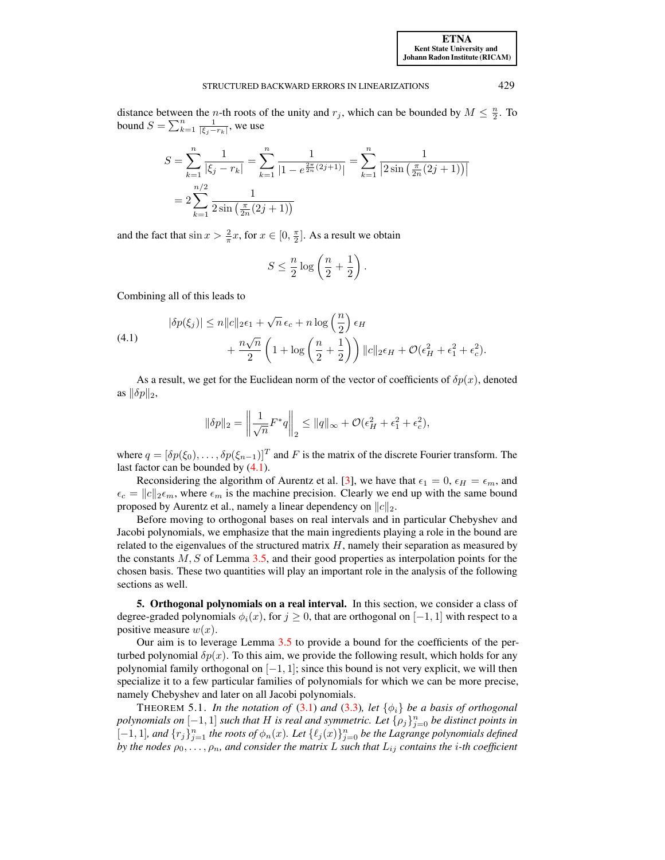distance between the *n*-th roots of the unity and  $r_j$ , which can be bounded by  $M \leq \frac{n}{2}$ . To bound  $S = \sum_{k=1}^{n} \frac{1}{|\xi_j - r_k|}$ , we use

$$
S = \sum_{k=1}^{n} \frac{1}{|\xi_j - r_k|} = \sum_{k=1}^{n} \frac{1}{|1 - e^{\frac{2\pi}{2n}(2j+1)}|} = \sum_{k=1}^{n} \frac{1}{|2\sin(\frac{\pi}{2n}(2j+1))|}
$$
  
= 
$$
2\sum_{k=1}^{n/2} \frac{1}{2\sin(\frac{\pi}{2n}(2j+1))}
$$

and the fact that  $\sin x > \frac{2}{\pi}x$ , for  $x \in [0, \frac{\pi}{2}]$ . As a result we obtain

<span id="page-9-1"></span>
$$
S \le \frac{n}{2} \log \left( \frac{n}{2} + \frac{1}{2} \right).
$$

Combining all of this leads to

(4.1) 
$$
|\delta p(\xi_j)| \le n||c||_2\epsilon_1 + \sqrt{n}\,\epsilon_c + n\log\left(\frac{n}{2}\right)\epsilon_H + \frac{n\sqrt{n}}{2}\left(1 + \log\left(\frac{n}{2} + \frac{1}{2}\right)\right)||c||_2\epsilon_H + \mathcal{O}(\epsilon_H^2 + \epsilon_1^2 + \epsilon_c^2).
$$

As a result, we get for the Euclidean norm of the vector of coefficients of  $\delta p(x)$ , denoted as  $\|\delta p\|_2$ ,

$$
\|\delta p\|_2 = \left\|\frac{1}{\sqrt{n}}F^*q\right\|_2 \le \|q\|_{\infty} + \mathcal{O}(\epsilon_H^2 + \epsilon_1^2 + \epsilon_c^2),
$$

where  $q = [\delta p(\xi_0), \dots, \delta p(\xi_{n-1})]^T$  and F is the matrix of the discrete Fourier transform. The last factor can be bounded by [\(4.1\)](#page-9-1).

Reconsidering the algorithm of Aurentz et al. [\[3\]](#page-21-6), we have that  $\epsilon_1 = 0$ ,  $\epsilon_H = \epsilon_m$ , and  $\epsilon_c = ||c||_2 \epsilon_m$ , where  $\epsilon_m$  is the machine precision. Clearly we end up with the same bound proposed by Aurentz et al., namely a linear dependency on  $||c||_2$ .

Before moving to orthogonal bases on real intervals and in particular Chebyshev and Jacobi polynomials, we emphasize that the main ingredients playing a role in the bound are related to the eigenvalues of the structured matrix  $H$ , namely their separation as measured by the constants  $M, S$  of Lemma [3.5,](#page-7-3) and their good properties as interpolation points for the chosen basis. These two quantities will play an important role in the analysis of the following sections as well.

<span id="page-9-0"></span>5. Orthogonal polynomials on a real interval. In this section, we consider a class of degree-graded polynomials  $\phi_i(x)$ , for  $j \ge 0$ , that are orthogonal on [-1, 1] with respect to a positive measure  $w(x)$ .

Our aim is to leverage Lemma [3.5](#page-7-3) to provide a bound for the coefficients of the perturbed polynomial  $\delta p(x)$ . To this aim, we provide the following result, which holds for any polynomial family orthogonal on [−1, 1]; since this bound is not very explicit, we will then specialize it to a few particular families of polynomials for which we can be more precise, namely Chebyshev and later on all Jacobi polynomials.

<span id="page-9-2"></span>THEOREM 5.1. *In the notation of* [\(3.1\)](#page-5-1) *and* [\(3.3\)](#page-5-3)*, let*  $\{\phi_i\}$  *be a basis of orthogonal*  $p$ olynomials on  $[-1, 1]$  such that  $H$  is real and symmetric. Let  $\{\rho_j\}_{j=0}^n$  be distinct points in [-1, 1], and  $\{r_j\}_{j=1}^n$  the roots of  $\phi_n(x)$ . Let  $\{\ell_j(x)\}_{j=0}^n$  be the Lagrange polynomials defined *by the nodes*  $\rho_0, \ldots, \rho_n$ , and consider the matrix L such that  $L_{ij}$  contains the *i*-th coefficient

[ETNA](http://etna.ricam.oeaw.ac.at) [Kent State University and](http://www.kent.edu) [Johann Radon Institute \(RICAM\)](http://www.ricam.oeaw.ac.at)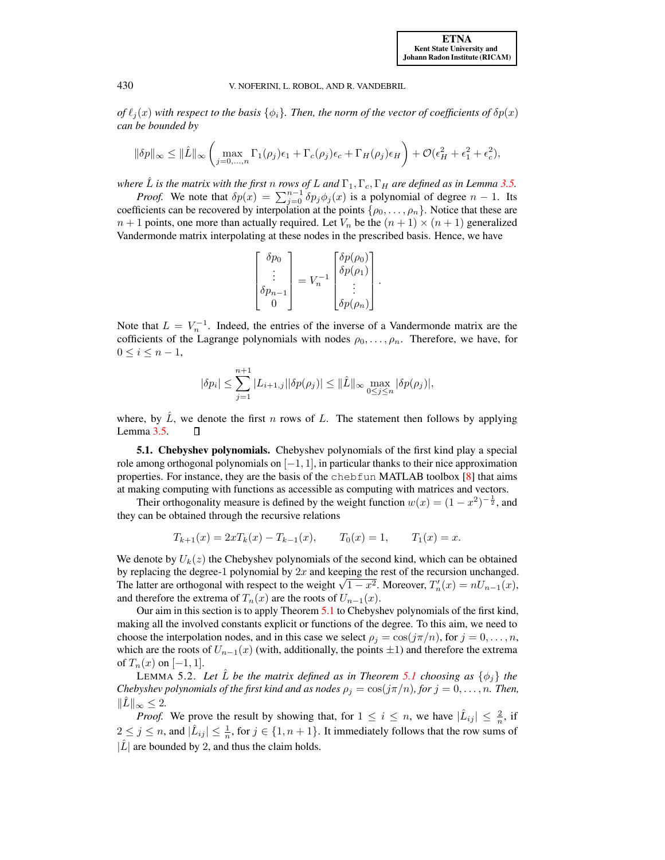*of*  $\ell_i(x)$  *with respect to the basis*  $\{\phi_i\}$ *. Then, the norm of the vector of coefficients of*  $\delta p(x)$ *can be bounded by*

$$
\|\delta p\|_{\infty} \le \|\hat{L}\|_{\infty} \left(\max_{j=0,\dots,n} \Gamma_1(\rho_j)\epsilon_1 + \Gamma_c(\rho_j)\epsilon_c + \Gamma_H(\rho_j)\epsilon_H\right) + \mathcal{O}(\epsilon_H^2 + \epsilon_1^2 + \epsilon_c^2),
$$

*where*  $\hat{L}$  *is the matrix with the first n rows of L and*  $\Gamma_1, \Gamma_c, \Gamma_H$  *are defined as in Lemma [3.5.](#page-7-3)* 

*Proof.* We note that  $\delta p(x) = \sum_{j=0}^{n-1} \delta p_j \phi_j(x)$  is a polynomial of degree  $n-1$ . Its coefficients can be recovered by interpolation at the points  $\{\rho_0, \ldots, \rho_n\}$ . Notice that these are  $n + 1$  points, one more than actually required. Let  $V_n$  be the  $(n + 1) \times (n + 1)$  generalized Vandermonde matrix interpolating at these nodes in the prescribed basis. Hence, we have

$$
\begin{bmatrix}\n\delta p_0 \\
\vdots \\
\delta p_{n-1} \\
0\n\end{bmatrix} = V_n^{-1} \begin{bmatrix}\n\delta p(\rho_0) \\
\delta p(\rho_1) \\
\vdots \\
\delta p(\rho_n)\n\end{bmatrix}.
$$

Note that  $L = V_n^{-1}$ . Indeed, the entries of the inverse of a Vandermonde matrix are the cofficients of the Lagrange polynomials with nodes  $\rho_0, \ldots, \rho_n$ . Therefore, we have, for  $0 \leq i \leq n-1$ ,

$$
|\delta p_i|\leq \sum_{j=1}^{n+1}|L_{i+1,j}||\delta p(\rho_j)|\leq ||\hat{L}||_{\infty}\max_{0\leq j\leq n}|\delta p(\rho_j)|,
$$

where, by  $\hat{L}$ , we denote the first n rows of L. The statement then follows by applying Lemma [3.5.](#page-7-3)  $\Box$ 

<span id="page-10-0"></span>5.1. Chebyshev polynomials. Chebyshev polynomials of the first kind play a special role among orthogonal polynomials on  $[-1, 1]$ , in particular thanks to their nice approximation properties. For instance, they are the basis of the chebfun MATLAB toolbox  $[8]$  that aims at making computing with functions as accessible as computing with matrices and vectors.

Their orthogonality measure is defined by the weight function  $w(x) = (1 - x^2)^{-\frac{1}{2}}$ , and they can be obtained through the recursive relations

$$
T_{k+1}(x) = 2xT_k(x) - T_{k-1}(x), \qquad T_0(x) = 1, \qquad T_1(x) = x.
$$

We denote by  $U_k(z)$  the Chebyshev polynomials of the second kind, which can be obtained by replacing the degree-1 polynomial by  $2x$  and keeping the rest of the recursion unchanged. by replacing the degree-1 polynomial by 2x and keeping the rest of the recursion unchanged.<br>The latter are orthogonal with respect to the weight  $\sqrt{1-x^2}$ . Moreover,  $T'_n(x) = nU_{n-1}(x)$ , and therefore the extrema of  $T_n(x)$  are the roots of  $U_{n-1}(x)$ .

Our aim in this section is to apply Theorem [5.1](#page-9-2) to Chebyshev polynomials of the first kind, making all the involved constants explicit or functions of the degree. To this aim, we need to choose the interpolation nodes, and in this case we select  $\rho_j = \cos(j\pi/n)$ , for  $j = 0, \ldots, n$ , which are the roots of  $U_{n-1}(x)$  (with, additionally, the points  $\pm 1$ ) and therefore the extrema of  $T_n(x)$  on  $[-1, 1]$ .

<span id="page-10-1"></span>**LEMMA 5.2.** Let  $\hat{L}$  be the matrix defined as in Theorem [5.1](#page-9-2) choosing as  $\{\phi_i\}$  the *Chebyshev polynomials of the first kind and as nodes*  $\rho_i = \cos(j\pi/n)$ *, for*  $j = 0, \ldots, n$ *. Then,*  $\|L\|_{\infty} \leq 2.$ 

*Proof.* We prove the result by showing that, for  $1 \leq i \leq n$ , we have  $|\hat{L}_{ij}| \leq \frac{2}{n}$ , if  $2 \leq j \leq n$ , and  $|\hat{L}_{ij}| \leq \frac{1}{n}$ , for  $j \in \{1, n + 1\}$ . It immediately follows that the row sums of  $|\hat{L}|$  are bounded by 2, and thus the claim holds.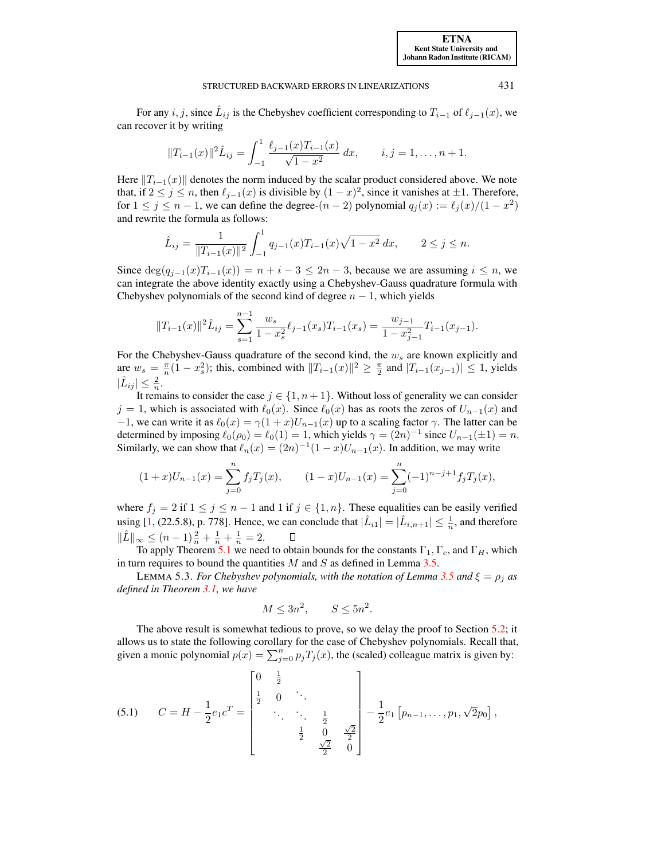For any  $i, j$ , since  $\hat{L}_{ij}$  is the Chebyshev coefficient corresponding to  $T_{i-1}$  of  $\ell_{j-1}(x)$ , we can recover it by writing

$$
||T_{i-1}(x)||^2 \hat{L}_{ij} = \int_{-1}^1 \frac{\ell_{j-1}(x) T_{i-1}(x)}{\sqrt{1-x^2}} dx, \qquad i, j = 1, \dots, n+1.
$$

Here  $||T_{i-1}(x)||$  denotes the norm induced by the scalar product considered above. We note that, if  $2 \le j \le n$ , then  $\ell_{j-1}(x)$  is divisible by  $(1-x)^2$ , since it vanishes at  $\pm 1$ . Therefore, for  $1 \le j \le n - 1$ , we can define the degree- $(n - 2)$  polynomial  $q_j(x) := \ell_j(x)/(1 - x^2)$ and rewrite the formula as follows:

$$
\hat{L}_{ij} = \frac{1}{\|T_{i-1}(x)\|^2} \int_{-1}^1 q_{j-1}(x) T_{i-1}(x) \sqrt{1-x^2} \, dx, \qquad 2 \le j \le n.
$$

Since  $\deg(q_{i-1}(x)T_{i-1}(x)) = n + i - 3 \leq 2n - 3$ , because we are assuming  $i \leq n$ , we can integrate the above identity exactly using a Chebyshev-Gauss quadrature formula with Chebyshev polynomials of the second kind of degree  $n - 1$ , which yields

$$
||T_{i-1}(x)||^2 \hat{L}_{ij} = \sum_{s=1}^{n-1} \frac{w_s}{1 - x_s^2} \ell_{j-1}(x_s) T_{i-1}(x_s) = \frac{w_{j-1}}{1 - x_{j-1}^2} T_{i-1}(x_{j-1}).
$$

For the Chebyshev-Gauss quadrature of the second kind, the  $w_s$  are known explicitly and are  $w_s = \frac{\pi}{n}(1 - x_s^2)$ ; this, combined with  $||T_{i-1}(x)||^2 \ge \frac{\pi}{2}$  and  $|T_{i-1}(x_{j-1})| \le 1$ , yields  $|\hat{L}_{ij}| \leq \frac{2}{n}.$ 

It remains to consider the case  $j \in \{1, n+1\}$ . Without loss of generality we can consider  $j = 1$ , which is associated with  $\ell_0(x)$ . Since  $\ell_0(x)$  has as roots the zeros of  $U_{n-1}(x)$  and −1, we can write it as  $\ell_0(x) = \gamma(1+x)U_{n-1}(x)$  up to a scaling factor  $\gamma$ . The latter can be determined by imposing  $\ell_0(\rho_0) = \ell_0(1) = 1$ , which yields  $\gamma = (2n)^{-1}$  since  $U_{n-1}(\pm 1) = n$ . Similarly, we can show that  $\ell_n(x) = (2n)^{-1}(1-x)U_{n-1}(x)$ . In addition, we may write

$$
(1+x)U_{n-1}(x) = \sum_{j=0}^{n} f_j T_j(x), \qquad (1-x)U_{n-1}(x) = \sum_{j=0}^{n} (-1)^{n-j+1} f_j T_j(x),
$$

where  $f_j = 2$  if  $1 \le j \le n - 1$  and  $1$  if  $j \in \{1, n\}$ . These equalities can be easily verified using [\[1,](#page-21-14) (22.5.8), p. 778]. Hence, we can conclude that  $|\hat{L}_{i1}| = |\hat{L}_{i,n+1}| \leq \frac{1}{n}$ , and therefore  $\|\hat{L}\|_{\infty} \leq (n-1)\frac{2}{n} + \frac{1}{n} + \frac{1}{n} = 2.$ 

To apply Theorem [5.1](#page-9-2) we need to obtain bounds for the constants  $\Gamma_1, \Gamma_c$ , and  $\Gamma_H$ , which in turn requires to bound the quantities  $M$  and  $S$  as defined in Lemma [3.5.](#page-7-3)

<span id="page-11-1"></span>LEMMA 5.3. *For Chebyshev polynomials, with the notation of Lemma [3.5](#page-7-3) and*  $\xi = \rho_i$  *as defined in Theorem [3.1,](#page-6-0) we have*

<span id="page-11-0"></span>
$$
M \le 3n^2, \qquad S \le 5n^2.
$$

The above result is somewhat tedious to prove, so we delay the proof to Section [5.2;](#page-13-0) it allows us to state the following corollary for the case of Chebyshev polynomials. Recall that, given a monic polynomial  $p(x) = \sum_{j=0}^{n} p_j T_j(x)$ , the (scaled) colleague matrix is given by:

(5.1) 
$$
C = H - \frac{1}{2}e_1c^T = \begin{bmatrix} 0 & \frac{1}{2} & & & \\ \frac{1}{2} & 0 & \ddots & & \\ & \ddots & \ddots & \frac{1}{2} & \\ & & \frac{1}{2} & 0 & \frac{\sqrt{2}}{2} \\ & & & \frac{\sqrt{2}}{2} & 0 \end{bmatrix} - \frac{1}{2}e_1 \left[ p_{n-1}, \ldots, p_1, \sqrt{2}p_0 \right],
$$

[ETNA](http://etna.ricam.oeaw.ac.at) [Kent State University and](http://www.kent.edu) [Johann Radon Institute \(RICAM\)](http://www.ricam.oeaw.ac.at)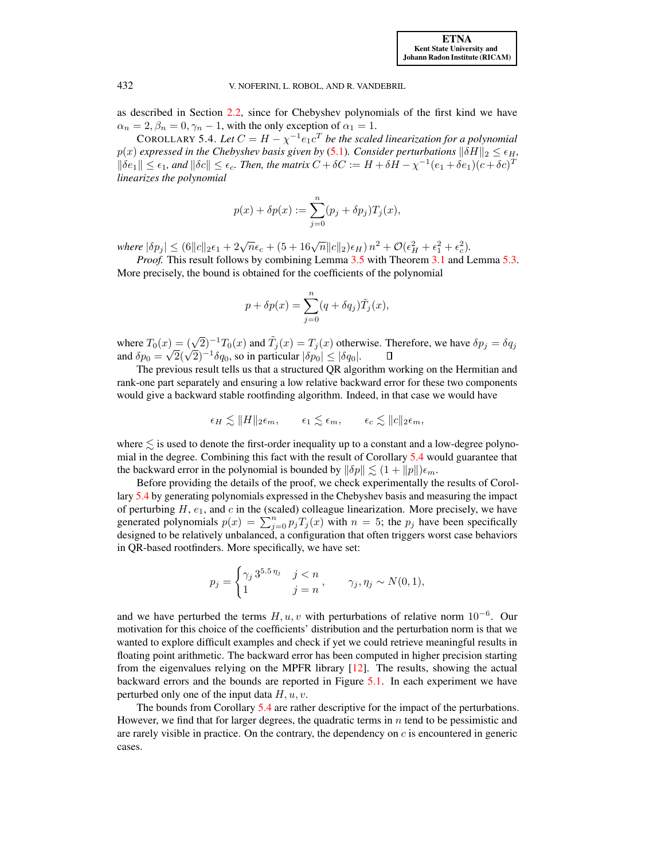as described in Section [2.2,](#page-3-2) since for Chebyshev polynomials of the first kind we have  $\alpha_n = 2, \beta_n = 0, \gamma_n - 1$ , with the only exception of  $\alpha_1 = 1$ .

<span id="page-12-0"></span>COROLLARY 5.4. Let  $C = H - \chi^{-1} e_1 c^T$  be the scaled linearization for a polynomial  $p(x)$  *expressed in the Chebyshev basis given by* [\(5.1\)](#page-11-0)*. Consider perturbations*  $\|\delta H\|_2 \leq \epsilon_H$ *,*  $\|\delta e_1\| \leq \epsilon_1$ , and  $\|\delta c\| \leq \epsilon_c$ . Then, the matrix  $C + \delta C := H + \delta H - \chi^{-1}(e_1 + \delta e_1)(c + \delta c)^T$ *linearizes the polynomial*

$$
p(x) + \delta p(x) := \sum_{j=0}^{n} (p_j + \delta p_j) T_j(x),
$$

 $where |\delta p_j| \le (6||c||_2\epsilon_1 + 2\sqrt{n}\epsilon_c + (5+16\sqrt{n}||c||_2)\epsilon_H) n^2 + \mathcal{O}(\epsilon_H^2 + \epsilon_1^2 + \epsilon_c^2).$ 

*Proof.* This result follows by combining Lemma [3.5](#page-7-3) with Theorem [3.1](#page-6-0) and Lemma [5.3.](#page-11-1) More precisely, the bound is obtained for the coefficients of the polynomial

$$
p + \delta p(x) = \sum_{j=0}^{n} (q + \delta q_j) \tilde{T}_j(x),
$$

where  $T_0(x) = (\sqrt{2})^{-1}T_0(x)$  and  $\tilde{T}_j(x) = T_j(x)$  otherwise. Therefore, we have  $\delta p_j = \delta q_j$ where  $I_0(x) = (\sqrt{2})^{-1} I_0(x)$  and  $I_j(x) = I_j(x)$  otherwood  $\delta p_0 = \sqrt{2}(\sqrt{2})^{-1} \delta q_0$ , so in particular  $|\delta p_0| \leq |\delta q_0|$ .  $\Box$ 

The previous result tells us that a structured QR algorithm working on the Hermitian and rank-one part separately and ensuring a low relative backward error for these two components would give a backward stable rootfinding algorithm. Indeed, in that case we would have

$$
\epsilon_H \lesssim ||H||_2 \epsilon_m, \qquad \epsilon_1 \lesssim \epsilon_m, \qquad \epsilon_c \lesssim ||c||_2 \epsilon_m,
$$

where  $\leq$  is used to denote the first-order inequality up to a constant and a low-degree polynomial in the degree. Combining this fact with the result of Corollary [5.4](#page-12-0) would guarantee that the backward error in the polynomial is bounded by  $\|\delta p\| \lesssim (1 + \|p\|)\epsilon_m$ .

Before providing the details of the proof, we check experimentally the results of Corollary [5.4](#page-12-0) by generating polynomials expressed in the Chebyshev basis and measuring the impact of perturbing  $H$ ,  $e_1$ , and  $c$  in the (scaled) colleague linearization. More precisely, we have generated polynomials  $p(x) = \sum_{j=0}^{n} p_j T_j(x)$  with  $n = 5$ ; the  $p_j$  have been specifically designed to be relatively unbalanced, a configuration that often triggers worst case behaviors in QR-based rootfinders. More specifically, we have set:

$$
p_j = \begin{cases} \gamma_j 3^{5.5 \eta_j} & j < n \\ 1 & j = n \end{cases}, \qquad \gamma_j, \eta_j \sim N(0, 1),
$$

and we have perturbed the terms  $H, u, v$  with perturbations of relative norm  $10^{-6}$ . Our motivation for this choice of the coefficients' distribution and the perturbation norm is that we wanted to explore difficult examples and check if yet we could retrieve meaningful results in floating point arithmetic. The backward error has been computed in higher precision starting from the eigenvalues relying on the MPFR library [\[12\]](#page-21-15). The results, showing the actual backward errors and the bounds are reported in Figure [5.1.](#page-13-1) In each experiment we have perturbed only one of the input data  $H, u, v$ .

The bounds from Corollary [5.4](#page-12-0) are rather descriptive for the impact of the perturbations. However, we find that for larger degrees, the quadratic terms in  $n$  tend to be pessimistic and are rarely visible in practice. On the contrary, the dependency on  $c$  is encountered in generic cases.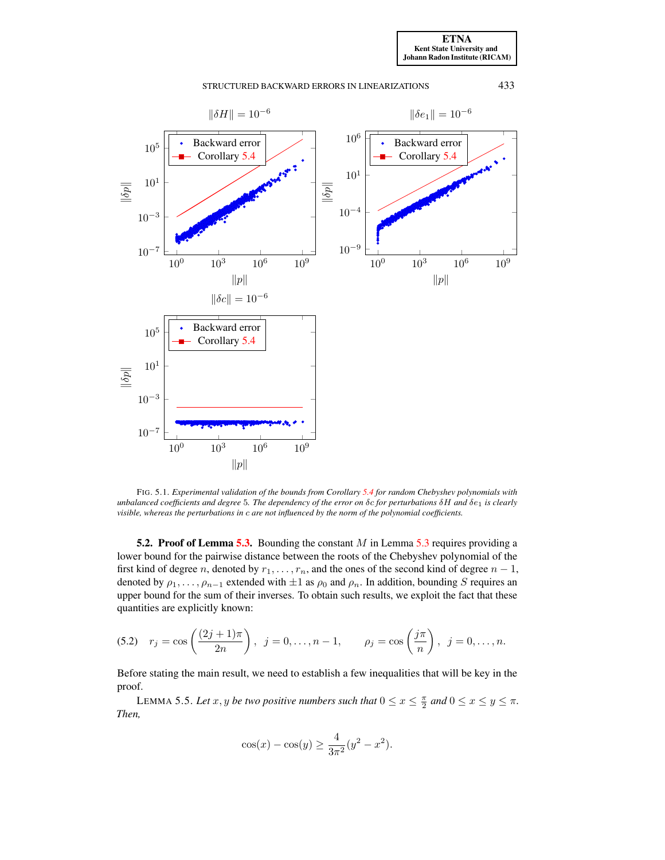## STRUCTURED BACKWARD ERRORS IN LINEARIZATIONS 433



<span id="page-13-1"></span>FIG. 5.1. *Experimental validation of the bounds from Corollary [5.4](#page-12-0) for random Chebyshev polynomials with unbalanced coefficients and degree* 5*. The dependency of the error on* δc *for perturbations* δH *and* δe<sup>1</sup> *is clearly visible, whereas the perturbations in* c *are not influenced by the norm of the polynomial coefficients.*

<span id="page-13-0"></span>5.2. Proof of Lemma [5.3.](#page-11-1) Bounding the constant  $M$  in Lemma [5.3](#page-11-1) requires providing a lower bound for the pairwise distance between the roots of the Chebyshev polynomial of the first kind of degree n, denoted by  $r_1, \ldots, r_n$ , and the ones of the second kind of degree  $n-1$ , denoted by  $\rho_1, \ldots, \rho_{n-1}$  extended with  $\pm 1$  as  $\rho_0$  and  $\rho_n$ . In addition, bounding S requires an upper bound for the sum of their inverses. To obtain such results, we exploit the fact that these quantities are explicitly known:

(5.2) 
$$
r_j = \cos\left(\frac{(2j+1)\pi}{2n}\right), \ j = 0, \dots, n-1, \qquad \rho_j = \cos\left(\frac{j\pi}{n}\right), \ j = 0, \dots, n.
$$

Before stating the main result, we need to establish a few inequalities that will be key in the proof.

<span id="page-13-3"></span>LEMMA 5.5. Let  $x, y$  be two positive numbers such that  $0 \le x \le \frac{\pi}{2}$  and  $0 \le x \le y \le \pi$ . *Then,*

<span id="page-13-2"></span>
$$
\cos(x) - \cos(y) \ge \frac{4}{3\pi^2} (y^2 - x^2).
$$

[ETNA](http://etna.ricam.oeaw.ac.at) [Kent State University and](http://www.kent.edu) [Johann Radon Institute \(RICAM\)](http://www.ricam.oeaw.ac.at)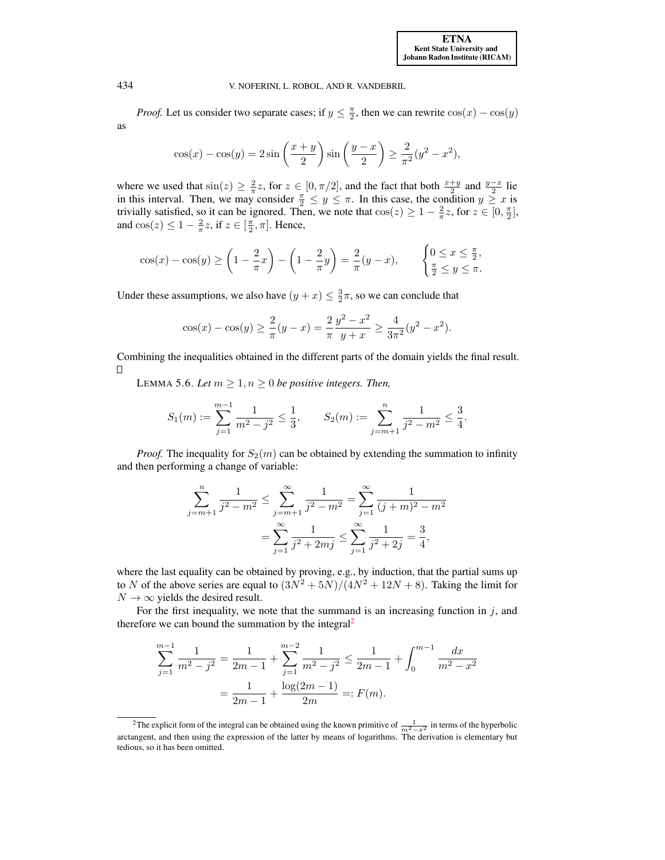[ETNA](http://etna.ricam.oeaw.ac.at) [Kent State University and](http://www.kent.edu) [Johann Radon Institute \(RICAM\)](http://www.ricam.oeaw.ac.at)

434 V. NOFERINI, L. ROBOL, AND R. VANDEBRIL

*Proof.* Let us consider two separate cases; if  $y \leq \frac{\pi}{2}$ , then we can rewrite  $\cos(x) - \cos(y)$ as

$$
\cos(x) - \cos(y) = 2\sin\left(\frac{x+y}{2}\right)\sin\left(\frac{y-x}{2}\right) \ge \frac{2}{\pi^2}(y^2 - x^2),
$$

where we used that  $\sin(z) \geq \frac{2}{\pi}z$ , for  $z \in [0, \pi/2]$ , and the fact that both  $\frac{x+y}{2}$  and  $\frac{y-x}{2}$  lie in this interval. Then, we may consider  $\frac{\pi}{2} \leq y \leq \pi$ . In this case, the condition  $y \geq x$  is trivially satisfied, so it can be ignored. Then, we note that  $cos(z) \geq 1 - \frac{2}{\pi}z$ , for  $z \in [0, \frac{\pi}{2}]$ , and  $\cos(z) \leq 1 - \frac{2}{\pi} z$ , if  $z \in [\frac{\pi}{2}, \pi]$ . Hence,

$$
\cos(x) - \cos(y) \ge \left(1 - \frac{2}{\pi}x\right) - \left(1 - \frac{2}{\pi}y\right) = \frac{2}{\pi}(y - x), \qquad \begin{cases} 0 \le x \le \frac{\pi}{2}, \\ \frac{\pi}{2} \le y \le \pi. \end{cases}
$$

Under these assumptions, we also have  $(y + x) \leq \frac{3}{2}\pi$ , so we can conclude that

$$
\cos(x) - \cos(y) \ge \frac{2}{\pi}(y - x) = \frac{2}{\pi} \frac{y^2 - x^2}{y + x} \ge \frac{4}{3\pi^2}(y^2 - x^2).
$$

Combining the inequalities obtained in the different parts of the domain yields the final result.  $\Box$ 

<span id="page-14-1"></span>LEMMA 5.6. Let  $m \geq 1, n \geq 0$  be positive integers. Then,

$$
S_1(m) := \sum_{j=1}^{m-1} \frac{1}{m^2 - j^2} \le \frac{1}{3}, \qquad S_2(m) := \sum_{j=m+1}^{n} \frac{1}{j^2 - m^2} \le \frac{3}{4}.
$$

*Proof.* The inequality for  $S_2(m)$  can be obtained by extending the summation to infinity and then performing a change of variable:

$$
\sum_{j=m+1}^{n} \frac{1}{j^2 - m^2} \le \sum_{j=m+1}^{\infty} \frac{1}{j^2 - m^2} = \sum_{j=1}^{\infty} \frac{1}{(j+m)^2 - m^2}
$$

$$
= \sum_{j=1}^{\infty} \frac{1}{j^2 + 2mj} \le \sum_{j=1}^{\infty} \frac{1}{j^2 + 2j} = \frac{3}{4},
$$

where the last equality can be obtained by proving, e.g., by induction, that the partial sums up to N of the above series are equal to  $\left(\frac{3N^2+5N}{N}\right)\left(\frac{4N^2+12N+8}{N}\right)$ . Taking the limit for  $N \rightarrow \infty$  yields the desired result.

For the first inequality, we note that the summand is an increasing function in  $j$ , and therefore we can bound the summation by the integral<sup>[2](#page-14-0)</sup>

$$
\sum_{j=1}^{m-1} \frac{1}{m^2 - j^2} = \frac{1}{2m - 1} + \sum_{j=1}^{m-2} \frac{1}{m^2 - j^2} \le \frac{1}{2m - 1} + \int_0^{m-1} \frac{dx}{m^2 - x^2}
$$

$$
= \frac{1}{2m - 1} + \frac{\log(2m - 1)}{2m} =: F(m).
$$

<span id="page-14-0"></span><sup>&</sup>lt;sup>2</sup>The explicit form of the integral can be obtained using the known primitive of  $\frac{1}{m^2-x^2}$  in terms of the hyperbolic arctangent, and then using the expression of the latter by means of logarithms. The derivation is elementary but tedious, so it has been omitted.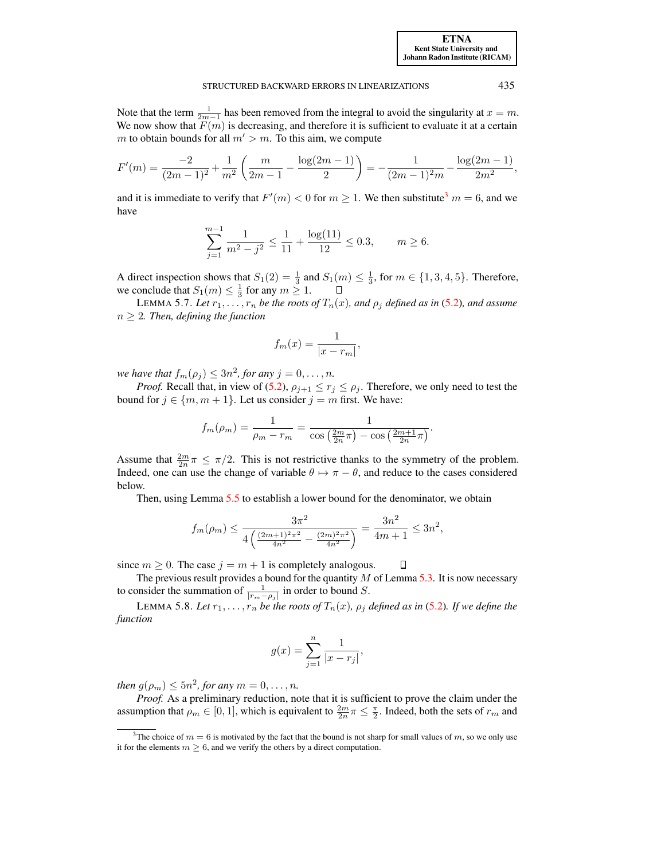Note that the term  $\frac{1}{2m-1}$  has been removed from the integral to avoid the singularity at  $x = m$ . We now show that  $F(m)$  is decreasing, and therefore it is sufficient to evaluate it at a certain m to obtain bounds for all  $m' > m$ . To this aim, we compute

$$
F'(m) = \frac{-2}{(2m-1)^2} + \frac{1}{m^2} \left( \frac{m}{2m-1} - \frac{\log(2m-1)}{2} \right) = -\frac{1}{(2m-1)^2 m} - \frac{\log(2m-1)}{2m^2},
$$

and it is immediate to verify that  $F'(m) < 0$  for  $m \ge 1$ . We then substitute<sup>[3](#page-15-0)</sup>  $m = 6$ , and we have

$$
\sum_{j=1}^{m-1} \frac{1}{m^2 - j^2} \le \frac{1}{11} + \frac{\log(11)}{12} \le 0.3, \qquad m \ge 6.
$$

A direct inspection shows that  $S_1(2) = \frac{1}{3}$  and  $S_1(m) \leq \frac{1}{3}$ , for  $m \in \{1, 3, 4, 5\}$ . Therefore, we conclude that  $S_1(m) \leq \frac{1}{3}$  for any  $m \geq 1$ .  $\Box$ 

<span id="page-15-1"></span>LEMMA 5.7. Let  $r_1, \ldots, r_n$  be the roots of  $T_n(x)$ , and  $\rho_i$  defined as in [\(5.2\)](#page-13-2)*,* and assume  $n \geq 2$ *. Then, defining the function* 

$$
f_m(x) = \frac{1}{|x - r_m|},
$$

*we have that*  $f_m(\rho_j) \leq 3n^2$ , for any  $j = 0, \ldots, n$ .

*Proof.* Recall that, in view of [\(5.2\)](#page-13-2),  $\rho_{j+1} \le r_j \le \rho_j$ . Therefore, we only need to test the bound for  $j \in \{m, m + 1\}$ . Let us consider  $j = m$  first. We have:

$$
f_m(\rho_m) = \frac{1}{\rho_m - r_m} = \frac{1}{\cos\left(\frac{2m}{2n}\pi\right) - \cos\left(\frac{2m+1}{2n}\pi\right)}.
$$

Assume that  $\frac{2m}{2n}\pi \leq \pi/2$ . This is not restrictive thanks to the symmetry of the problem. Indeed, one can use the change of variable  $\theta \mapsto \pi - \theta$ , and reduce to the cases considered below.

Then, using Lemma [5.5](#page-13-3) to establish a lower bound for the denominator, we obtain

$$
f_m(\rho_m) \le \frac{3\pi^2}{4\left(\frac{(2m+1)^2\pi^2}{4n^2} - \frac{(2m)^2\pi^2}{4n^2}\right)} = \frac{3n^2}{4m+1} \le 3n^2,
$$

since  $m \geq 0$ . The case  $j = m + 1$  is completely analogous. П

The previous result provides a bound for the quantity  $M$  of Lemma [5.3.](#page-11-1) It is now necessary to consider the summation of  $\frac{1}{|r_m-\rho_j|}$  in order to bound S.

LEMMA 5.8. Let  $r_1, \ldots, r_n$  be the roots of  $T_n(x)$ ,  $\rho_j$  defined as in [\(5.2\)](#page-13-2). If we define the *function*

$$
g(x) = \sum_{j=1}^{n} \frac{1}{|x - r_j|},
$$

*then*  $g(\rho_m) \le 5n^2$ , for any  $m = 0, \ldots, n$ .

*Proof.* As a preliminary reduction, note that it is sufficient to prove the claim under the assumption that  $\rho_m \in [0,1]$ , which is equivalent to  $\frac{2m}{2n}\pi \leq \frac{\pi}{2}$ . Indeed, both the sets of  $r_m$  and

<span id="page-15-0"></span><sup>&</sup>lt;sup>3</sup>The choice of  $m = 6$  is motivated by the fact that the bound is not sharp for small values of m, so we only use it for the elements  $m \geq 6$ , and we verify the others by a direct computation.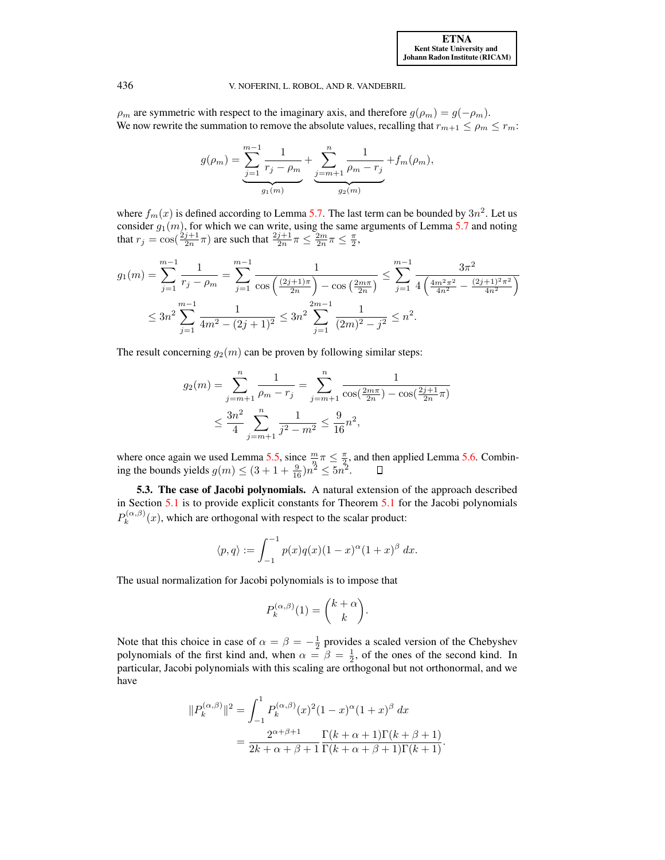$\rho_m$  are symmetric with respect to the imaginary axis, and therefore  $g(\rho_m) = g(-\rho_m)$ . We now rewrite the summation to remove the absolute values, recalling that  $r_{m+1} \le \rho_m \le r_m$ .

$$
g(\rho_m) = \underbrace{\sum_{j=1}^{m-1} \frac{1}{r_j - \rho_m}}_{g_1(m)} + \underbrace{\sum_{j=m+1}^{n} \frac{1}{\rho_m - r_j}}_{g_2(m)} + f_m(\rho_m),
$$

where  $f_m(x)$  is defined according to Lemma [5.7.](#page-15-1) The last term can be bounded by  $3n^2$ . Let us consider  $g_1(m)$ , for which we can write, using the same arguments of Lemma [5.7](#page-15-1) and noting that  $r_j = \cos(\frac{2j+1}{2n}\pi)$  are such that  $\frac{2j+1}{2n}\pi \le \frac{2m}{2n}\pi \le \frac{\pi}{2}$ ,

$$
g_1(m) = \sum_{j=1}^{m-1} \frac{1}{r_j - \rho_m} = \sum_{j=1}^{m-1} \frac{1}{\cos\left(\frac{(2j+1)\pi}{2n}\right) - \cos\left(\frac{2m\pi}{2n}\right)} \le \sum_{j=1}^{m-1} \frac{3\pi^2}{4\left(\frac{4m^2\pi^2}{4n^2} - \frac{(2j+1)^2\pi^2}{4n^2}\right)}
$$
  

$$
\le 3n^2 \sum_{j=1}^{m-1} \frac{1}{4m^2 - (2j+1)^2} \le 3n^2 \sum_{j=1}^{2m-1} \frac{1}{(2m)^2 - j^2} \le n^2.
$$

The result concerning  $g_2(m)$  can be proven by following similar steps:

$$
g_2(m) = \sum_{j=m+1}^n \frac{1}{\rho_m - r_j} = \sum_{j=m+1}^n \frac{1}{\cos(\frac{2m\pi}{2n}) - \cos(\frac{2j+1}{2n}\pi)}
$$
  

$$
\leq \frac{3n^2}{4} \sum_{j=m+1}^n \frac{1}{j^2 - m^2} \leq \frac{9}{16}n^2,
$$

where once again we used Lemma [5.5,](#page-13-3) since  $\frac{m}{\lambda} \pi \leq \frac{\pi}{2}$ , and then applied Lemma [5.6.](#page-14-1) Combining the bounds yields  $g(m) \le (3 + 1 + \frac{9}{16})n^2 \le 5n^2$ .

5.3. The case of Jacobi polynomials. A natural extension of the approach described in Section [5.1](#page-10-0) is to provide explicit constants for Theorem [5.1](#page-9-2) for the Jacobi polynomials  $P_k^{(\alpha,\beta)}$  $k_k^{(\alpha,\beta)}(x)$ , which are orthogonal with respect to the scalar product:

$$
\langle p, q \rangle := \int_{-1}^{-1} p(x)q(x)(1-x)^{\alpha}(1+x)^{\beta} dx.
$$

The usual normalization for Jacobi polynomials is to impose that

$$
P_k^{(\alpha,\beta)}(1) = \binom{k+\alpha}{k}.
$$

Note that this choice in case of  $\alpha = \beta = -\frac{1}{2}$  provides a scaled version of the Chebyshev polynomials of the first kind and, when  $\alpha = \beta = \frac{1}{2}$ , of the ones of the second kind. In particular, Jacobi polynomials with this scaling are orthogonal but not orthonormal, and we have

$$
||P_k^{(\alpha,\beta)}||^2 = \int_{-1}^1 P_k^{(\alpha,\beta)}(x)^2 (1-x)^{\alpha} (1+x)^{\beta} dx
$$
  
= 
$$
\frac{2^{\alpha+\beta+1}}{2k+\alpha+\beta+1} \frac{\Gamma(k+\alpha+1)\Gamma(k+\beta+1)}{\Gamma(k+\alpha+\beta+1)\Gamma(k+1)}.
$$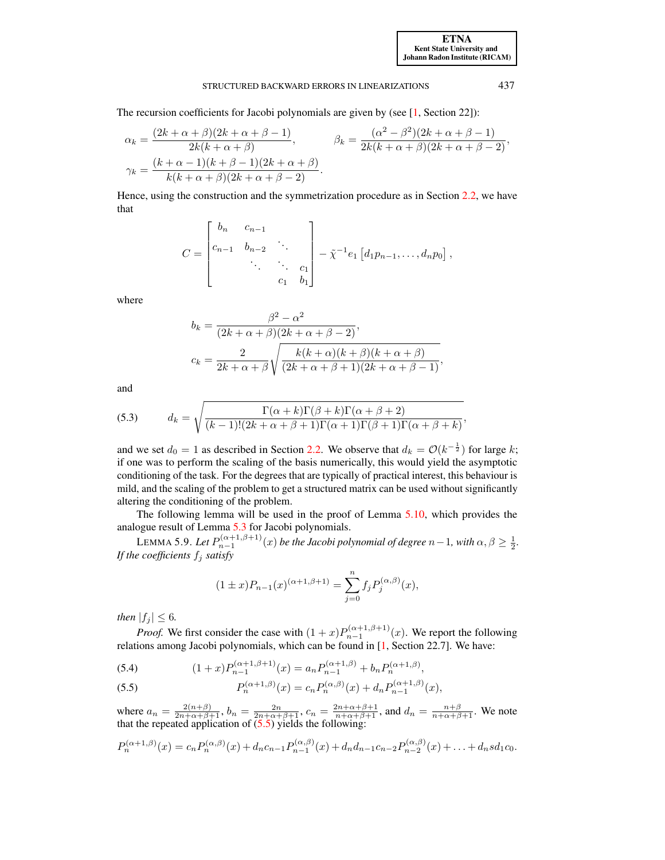#### STRUCTURED BACKWARD ERRORS IN LINEARIZATIONS 437

The recursion coefficients for Jacobi polynomials are given by (see [\[1,](#page-21-14) Section 22]):

$$
\alpha_k = \frac{(2k+\alpha+\beta)(2k+\alpha+\beta-1)}{2k(k+\alpha+\beta)}, \qquad \beta_k = \frac{(\alpha^2-\beta^2)(2k+\alpha+\beta-1)}{2k(k+\alpha+\beta)(2k+\alpha+\beta-2)},
$$
  

$$
\gamma_k = \frac{(k+\alpha-1)(k+\beta-1)(2k+\alpha+\beta)}{k(k+\alpha+\beta)(2k+\alpha+\beta-2)}.
$$

Hence, using the construction and the symmetrization procedure as in Section [2.2,](#page-3-2) we have that

$$
C = \begin{bmatrix} b_n & c_{n-1} & & \\ c_{n-1} & b_{n-2} & \cdots & \\ & \ddots & \ddots & c_1 \\ & & c_1 & b_1 \end{bmatrix} - \tilde{\chi}^{-1} e_1 \left[ d_1 p_{n-1}, \ldots, d_n p_0 \right],
$$

where

$$
b_k = \frac{\beta^2 - \alpha^2}{(2k + \alpha + \beta)(2k + \alpha + \beta - 2)},
$$
  
\n
$$
c_k = \frac{2}{2k + \alpha + \beta} \sqrt{\frac{k(k + \alpha)(k + \beta)(k + \alpha + \beta)}{(2k + \alpha + \beta + 1)(2k + \alpha + \beta - 1)}},
$$

<span id="page-17-3"></span>and

(5.3) 
$$
d_k = \sqrt{\frac{\Gamma(\alpha + k)\Gamma(\beta + k)\Gamma(\alpha + \beta + 2)}{(k-1)!(2k + \alpha + \beta + 1)\Gamma(\alpha + 1)\Gamma(\beta + 1)\Gamma(\alpha + \beta + k)}},
$$

and we set  $d_0 = 1$  as described in Section [2.2.](#page-3-2) We observe that  $d_k = \mathcal{O}(k^{-\frac{1}{2}})$  for large k; if one was to perform the scaling of the basis numerically, this would yield the asymptotic conditioning of the task. For the degrees that are typically of practical interest, this behaviour is mild, and the scaling of the problem to get a structured matrix can be used without significantly altering the conditioning of the problem.

The following lemma will be used in the proof of Lemma [5.10,](#page-18-0) which provides the analogue result of Lemma [5.3](#page-11-1) for Jacobi polynomials.

<span id="page-17-2"></span>LEMMA 5.9. Let  $P_{n-1}^{(\alpha+1,\beta+1)}(x)$  be the Jacobi polynomial of degree  $n-1$ , with  $\alpha, \beta \geq \frac{1}{2}$ . *If the coefficients*  $f_j$  *satisfy* 

$$
(1 \pm x)P_{n-1}(x)^{(\alpha+1,\beta+1)} = \sum_{j=0}^{n} f_j P_j^{(\alpha,\beta)}(x),
$$

*then*  $|f_j| \leq 6$ *.* 

*Proof.* We first consider the case with  $(1+x)P_{n-1}^{(\alpha+1,\beta+1)}(x)$ . We report the following relations among Jacobi polynomials, which can be found in [\[1,](#page-21-14) Section 22.7]. We have:

<span id="page-17-1"></span>(5.4) 
$$
(1+x)P_{n-1}^{(\alpha+1,\beta+1)}(x) = a_n P_{n-1}^{(\alpha+1,\beta)} + b_n P_n^{(\alpha+1,\beta)},
$$

<span id="page-17-0"></span>(5.5) 
$$
P_n^{(\alpha+1,\beta)}(x) = c_n P_n^{(\alpha,\beta)}(x) + d_n P_{n-1}^{(\alpha+1,\beta)}(x),
$$

where  $a_n = \frac{2(n+\beta)}{2n+\alpha+\beta+1}$ ,  $b_n = \frac{2n}{2n+\alpha+\beta+1}$ ,  $c_n = \frac{2n+\alpha+\beta+1}{n+\alpha+\beta+1}$ , and  $d_n = \frac{n+\beta}{n+\alpha+\beta+1}$ . We note that the repeated application of  $(5.5)$  yields the following:

$$
P_n^{(\alpha+1,\beta)}(x) = c_n P_n^{(\alpha,\beta)}(x) + d_n c_{n-1} P_{n-1}^{(\alpha,\beta)}(x) + d_n d_{n-1} c_{n-2} P_{n-2}^{(\alpha,\beta)}(x) + \ldots + d_n s d_1 c_0.
$$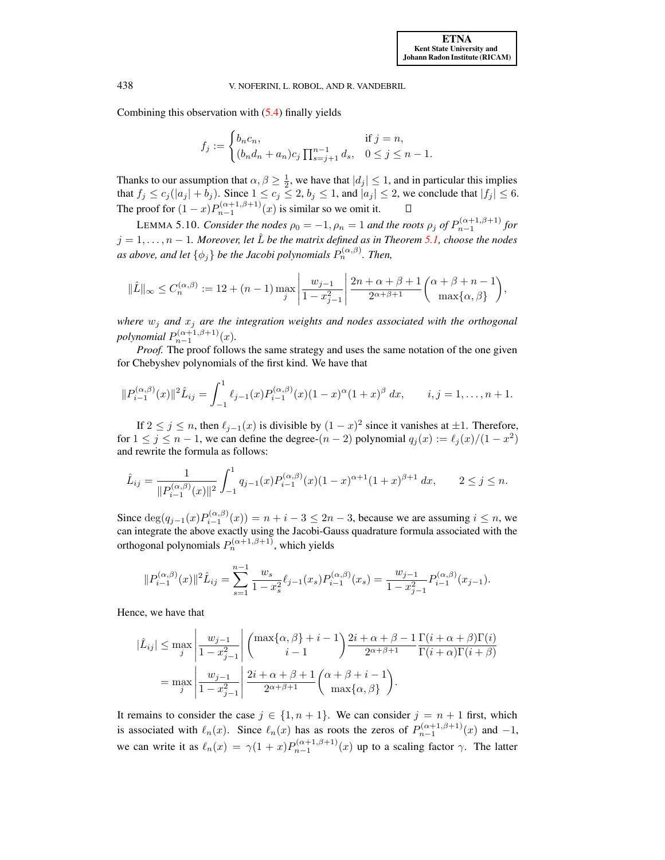Combining this observation with [\(5.4\)](#page-17-1) finally yields

$$
f_j := \begin{cases} b_n c_n, & \text{if } j = n, \\ (b_n d_n + a_n) c_j \prod_{s=j+1}^{n-1} d_s, & 0 \le j \le n-1. \end{cases}
$$

Thanks to our assumption that  $\alpha, \beta \geq \frac{1}{2}$ , we have that  $|d_j| \leq 1$ , and in particular this implies That fix that figure is assumption that  $\alpha, \beta \geq 2$ , we have that  $|a_j| \leq 1$ , and in particular this implies that  $|f_j| \leq 6$ . The proof for  $(1-x)P_{n-1}^{(\alpha+1,\beta+1)}(x)$  is similar so we omit it.

<span id="page-18-0"></span>LEMMA 5.10. *Consider the nodes*  $\rho_0 = -1$ ,  $\rho_n = 1$  and the roots  $\rho_j$  of  $P_{n-1}^{(\alpha+1,\beta+1)}$  for  $j = 1, \ldots, n - 1$ . Moreover, let  $\hat{L}$  be the matrix defined as in Theorem [5.1,](#page-9-2) choose the nodes as above, and let  $\{\phi_j\}$  be the Jacobi polynomials  $P_n^{(\alpha,\beta)}$ . Then,

$$
\|\hat{L}\|_{\infty} \le C_n^{(\alpha,\beta)} := 12 + (n-1) \max_{j} \left| \frac{w_{j-1}}{1 - x_{j-1}^2} \right| \frac{2n + \alpha + \beta + 1}{2^{\alpha + \beta + 1}} {\alpha + \beta + n - 1 \choose \max\{\alpha, \beta\}},
$$

*where*  $w_j$  *and*  $x_j$  *are the integration weights and nodes associated with the orthogonal*  $polynomial P_{n-1}^{(\alpha+1,\beta+1)}(x)$ .

*Proof.* The proof follows the same strategy and uses the same notation of the one given for Chebyshev polynomials of the first kind. We have that

$$
||P_{i-1}^{(\alpha,\beta)}(x)||^2\hat{L}_{ij} = \int_{-1}^1 \ell_{j-1}(x) P_{i-1}^{(\alpha,\beta)}(x) (1-x)^\alpha (1+x)^\beta dx, \qquad i,j = 1,\ldots,n+1.
$$

If  $2 \le j \le n$ , then  $\ell_{j-1}(x)$  is divisible by  $(1-x)^2$  since it vanishes at  $\pm 1$ . Therefore, for  $1 \le j \le n - 1$ , we can define the degree- $(n - 2)$  polynomial  $q_j(x) := \ell_j(x)/(1 - x^2)$ and rewrite the formula as follows:

$$
\hat{L}_{ij} = \frac{1}{\|P_{i-1}^{(\alpha,\beta)}(x)\|^2} \int_{-1}^1 q_{j-1}(x) P_{i-1}^{(\alpha,\beta)}(x) (1-x)^{\alpha+1} (1+x)^{\beta+1} dx, \qquad 2 \le j \le n.
$$

Since  $deg(q_{j-1}(x)P_{i-1}^{(\alpha,\beta)}(x)) = n + i - 3 \leq 2n - 3$ , because we are assuming  $i \leq n$ , we can integrate the above exactly using the Jacobi-Gauss quadrature formula associated with the orthogonal polynomials  $P_n^{(\alpha+1,\beta+1)}$ , which yields

$$
||P_{i-1}^{(\alpha,\beta)}(x)||^2 \hat{L}_{ij} = \sum_{s=1}^{n-1} \frac{w_s}{1-x_s^2} \ell_{j-1}(x_s) P_{i-1}^{(\alpha,\beta)}(x_s) = \frac{w_{j-1}}{1-x_{j-1}^2} P_{i-1}^{(\alpha,\beta)}(x_{j-1}).
$$

Hence, we have that

$$
|\hat{L}_{ij}| \le \max_{j} \left| \frac{w_{j-1}}{1 - x_{j-1}^2} \right| \binom{\max\{\alpha, \beta\} + i - 1}{i - 1} \frac{2i + \alpha + \beta - 1}{2^{\alpha + \beta + 1}} \frac{\Gamma(i + \alpha + \beta)\Gamma(i)}{\Gamma(i + \alpha)\Gamma(i + \beta)}
$$

$$
= \max_{j} \left| \frac{w_{j-1}}{1 - x_{j-1}^2} \right| \frac{2i + \alpha + \beta + 1}{2^{\alpha + \beta + 1}} \binom{\alpha + \beta + i - 1}{\max\{\alpha, \beta\}}.
$$

It remains to consider the case  $j \in \{1, n+1\}$ . We can consider  $j = n+1$  first, which is associated with  $\ell_n(x)$ . Since  $\ell_n(x)$  has as roots the zeros of  $P_{n-1}^{(\alpha+1,\beta+1)}(x)$  and  $-1$ , we can write it as  $\ell_n(x) = \gamma(1+x)P_{n-1}^{(\alpha+1,\beta+1)}(x)$  up to a scaling factor  $\gamma$ . The latter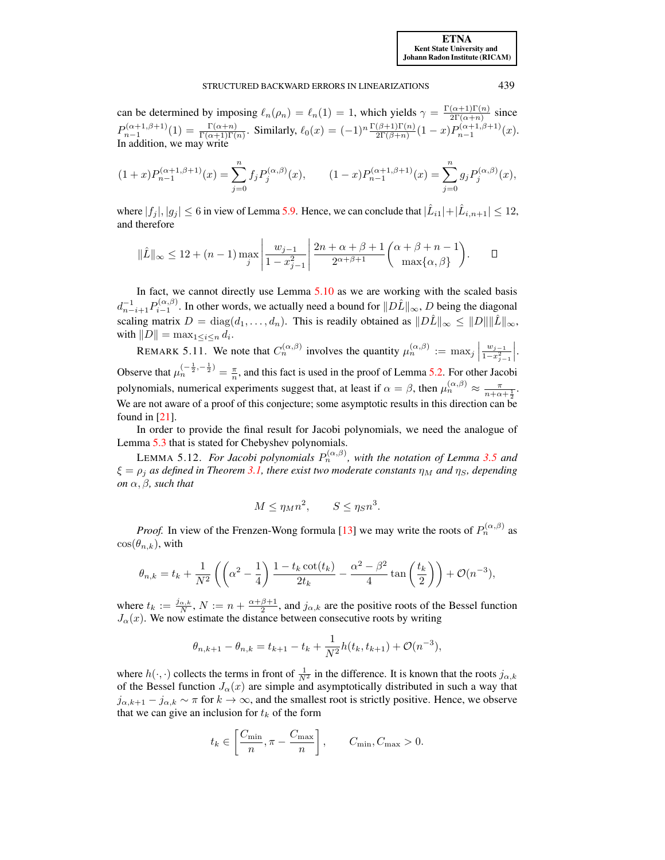#### STRUCTURED BACKWARD ERRORS IN LINEARIZATIONS 439

can be determined by imposing  $\ell_n(\rho_n) = \ell_n(1) = 1$ , which yields  $\gamma = \frac{\Gamma(\alpha+1)\Gamma(n)}{2\Gamma(\alpha+n)}$  $\frac{(\alpha+1)\Gamma(n)}{2\Gamma(\alpha+n)}$  since  $P_{n-1}^{(\alpha+1,\beta+1)}(1) = \frac{\Gamma(\alpha+n)}{\Gamma(\alpha+1)\Gamma(n)}$ . Similarly,  $\ell_0(x) = (-1)^n \frac{\Gamma(\beta+1)\Gamma(n)}{2\Gamma(\beta+n)}(1-x) P_{n-1}^{(\alpha+1,\beta+1)}(x)$ . In addition, we may write

$$
(1+x)P_{n-1}^{(\alpha+1,\beta+1)}(x) = \sum_{j=0}^{n} f_j P_j^{(\alpha,\beta)}(x), \qquad (1-x)P_{n-1}^{(\alpha+1,\beta+1)}(x) = \sum_{j=0}^{n} g_j P_j^{(\alpha,\beta)}(x),
$$

where  $|f_j|, |g_j| \le 6$  in view of Lemma [5.9.](#page-17-2) Hence, we can conclude that  $|\hat{L}_{i1}| + |\hat{L}_{i,n+1}| \le 12$ , and therefore

$$
\|\hat{L}\|_{\infty} \le 12 + (n-1)\max_{j} \left| \frac{w_{j-1}}{1 - x_{j-1}^2} \right| \frac{2n + \alpha + \beta + 1}{2^{\alpha + \beta + 1}} {\alpha + \beta + n - 1 \choose \max\{\alpha, \beta\}}.
$$

In fact, we cannot directly use Lemma [5.10](#page-18-0) as we are working with the scaled basis  $d_{n-i+1}^{-1}P_{i-1}^{(\alpha,\beta)}$ . In other words, we actually need a bound for  $||D\hat{L}||_{\infty}$ , D being the diagonal scaling matrix  $D = \text{diag}(d_1, \ldots, d_n)$ . This is readily obtained as  $||D\hat{L}||_{\infty} \le ||D|| ||\hat{L}||_{\infty}$ , with  $||D|| = \max_{1 \leq i \leq n} d_i$ .

REMARK 5.11. We note that  $C_n^{(\alpha,\beta)}$  involves the quantity  $\mu_n^{(\alpha,\beta)} := \max_j \left| \frac{\alpha}{n} \right|$  $w_{j-1}$  $\overline{1-x_{j-1}^2}$   . Observe that  $\mu_n^{(-\frac{1}{2}, -\frac{1}{2})} = \frac{\pi}{n}$ , and this fact is used in the proof of Lemma [5.2.](#page-10-1) For other Jacobi polynomials, numerical experiments suggest that, at least if  $\alpha = \beta$ , then  $\mu_n^{(\alpha,\beta)} \approx \frac{\pi}{n+\alpha+\frac{1}{2}}$ . We are not aware of a proof of this conjecture; some asymptotic results in this direction can be found in [\[21\]](#page-22-5).

In order to provide the final result for Jacobi polynomials, we need the analogue of Lemma [5.3](#page-11-1) that is stated for Chebyshev polynomials.

<span id="page-19-0"></span>LEMMA 5.12. For Jacobi polynomials  $P_n^{(\alpha,\beta)}$ , with the notation of Lemma [3.5](#page-7-3) and  $\xi = \rho_i$  *as defined in Theorem [3.1,](#page-6-0)* there exist two moderate constants  $\eta_M$  and  $\eta_S$ , depending *on*  $\alpha$ *,*  $\beta$ *, such that* 

$$
M \le \eta_M n^2, \qquad S \le \eta_S n^3.
$$

*Proof.* In view of the Frenzen-Wong formula [\[13\]](#page-21-16) we may write the roots of  $P_n^{(\alpha,\beta)}$  as  $\cos(\theta_{n,k})$ , with

$$
\theta_{n,k} = t_k + \frac{1}{N^2} \left( \left( \alpha^2 - \frac{1}{4} \right) \frac{1 - t_k \cot(t_k)}{2t_k} - \frac{\alpha^2 - \beta^2}{4} \tan\left(\frac{t_k}{2}\right) \right) + \mathcal{O}(n^{-3}),
$$

where  $t_k := \frac{j_{\alpha,k}}{N}$ ,  $N := n + \frac{\alpha+\beta+1}{2}$ , and  $j_{\alpha,k}$  are the positive roots of the Bessel function  $J_{\alpha}(x)$ . We now estimate the distance between consecutive roots by writing

$$
\theta_{n,k+1} - \theta_{n,k} = t_{k+1} - t_k + \frac{1}{N^2} h(t_k, t_{k+1}) + \mathcal{O}(n^{-3}),
$$

where  $h(\cdot, \cdot)$  collects the terms in front of  $\frac{1}{N^2}$  in the difference. It is known that the roots  $j_{\alpha,k}$ of the Bessel function  $J_\alpha(x)$  are simple and asymptotically distributed in such a way that  $j_{\alpha,k+1} - j_{\alpha,k} \sim \pi$  for  $k \to \infty$ , and the smallest root is strictly positive. Hence, we observe that we can give an inclusion for  $t_k$  of the form

$$
t_k \in \left[\frac{C_{\min}}{n}, \pi - \frac{C_{\max}}{n}\right], \qquad C_{\min}, C_{\max} > 0.
$$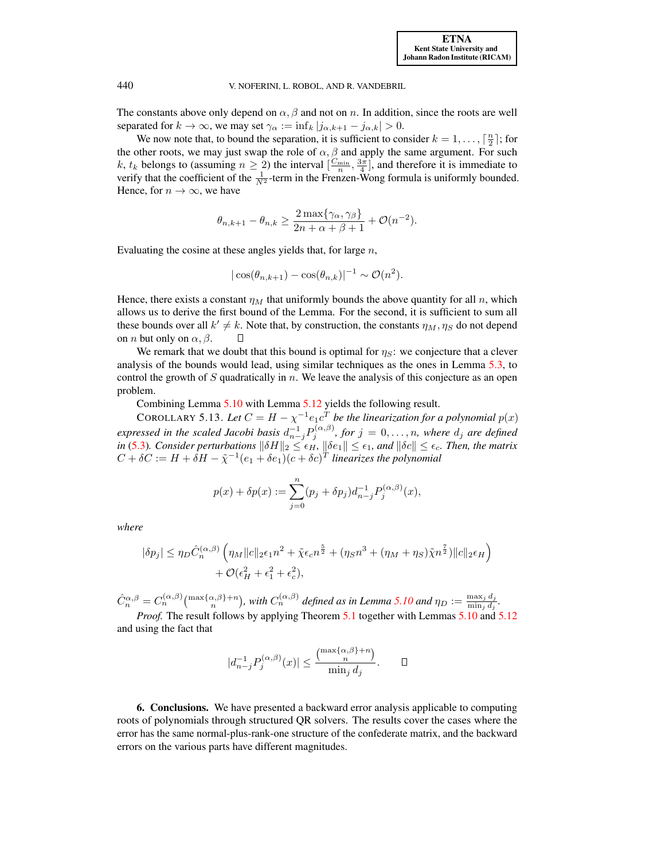The constants above only depend on  $\alpha$ ,  $\beta$  and not on n. In addition, since the roots are well separated for  $k \to \infty$ , we may set  $\gamma_\alpha := \inf_k |j_{\alpha,k+1} - j_{\alpha,k}| > 0$ .

We now note that, to bound the separation, it is sufficient to consider  $k = 1, \ldots, \lceil \frac{n}{2} \rceil$ ; for the other roots, we may just swap the role of  $\alpha$ ,  $\beta$  and apply the same argument. For such k,  $t_k$  belongs to (assuming  $n \geq 2$ ) the interval  $\left[\frac{C_{\min}}{n}, \frac{3\pi}{4}\right]$ , and therefore it is immediate to verify that the coefficient of the  $\frac{1}{N^2}$ -term in the Frenzen-Wong formula is uniformly bounded. Hence, for  $n \to \infty$ , we have

$$
\theta_{n,k+1} - \theta_{n,k} \ge \frac{2 \max\{\gamma_\alpha, \gamma_\beta\}}{2n + \alpha + \beta + 1} + \mathcal{O}(n^{-2}).
$$

Evaluating the cosine at these angles yields that, for large  $n$ ,

$$
|\cos(\theta_{n,k+1}) - \cos(\theta_{n,k})|^{-1} \sim \mathcal{O}(n^2).
$$

Hence, there exists a constant  $\eta_M$  that uniformly bounds the above quantity for all n, which allows us to derive the first bound of the Lemma. For the second, it is sufficient to sum all these bounds over all  $k' \neq k$ . Note that, by construction, the constants  $\eta_M, \eta_S$  do not depend on *n* but only on  $\alpha$ ,  $\beta$ .  $\Box$ 

We remark that we doubt that this bound is optimal for  $\eta_s$ : we conjecture that a clever analysis of the bounds would lead, using similar techniques as the ones in Lemma [5.3,](#page-11-1) to control the growth of S quadratically in  $n$ . We leave the analysis of this conjecture as an open problem.

Combining Lemma [5.10](#page-18-0) with Lemma [5.12](#page-19-0) yields the following result.

COROLLARY 5.13. Let  $C = H - \chi^{-1} e_1 c^T$  be the linearization for a polynomial  $p(x)$ *expressed in the scaled Jacobi basis*  $d_{n-j}^{-1}P_j^{(\alpha,\beta)}$ , for  $j = 0, \ldots, n$ , where  $d_j$  are defined *in* [\(5.3\)](#page-17-3). Consider perturbations  $\|\delta H\|_2 \leq \epsilon_H$ ,  $\|\delta e_1\| \leq \epsilon_1$ , and  $\|\delta c\| \leq \epsilon_c$ . Then, the matrix  $C + \delta C := H + \delta H - \tilde{\chi}^{-1}(e_1 + \delta e_1)(c + \delta c)^T$  linearizes the polynomial

$$
p(x) + \delta p(x) := \sum_{j=0}^{n} (p_j + \delta p_j) d_{n-j}^{-1} P_j^{(\alpha,\beta)}(x),
$$

*where*

$$
|\delta p_j| \le \eta_D \hat{C}_n^{(\alpha,\beta)} \left( \eta_M \|c\|_2 \epsilon_1 n^2 + \tilde{\chi} \epsilon_c n^{\frac{5}{2}} + (\eta_S n^3 + (\eta_M + \eta_S) \tilde{\chi} n^{\frac{7}{2}}) \|c\|_2 \epsilon_H \right) + \mathcal{O}(\epsilon_H^2 + \epsilon_1^2 + \epsilon_c^2),
$$

 $\hat{C}_n^{\alpha,\beta} = C_n^{(\alpha,\beta)} \binom{\max\{\alpha,\beta\}+n}{n}$ , with  $C_n^{(\alpha,\beta)}$  defined as in Lemma [5.10](#page-18-0) and  $\eta_D := \frac{\max_j d_j}{\min_j d_j}$  $\frac{\max_j a_j}{\min_j d_j}$ .

*Proof.* The result follows by applying Theorem [5.1](#page-9-2) together with Lemmas [5.10](#page-18-0) and [5.12](#page-19-0) and using the fact that

$$
|d_{n-j}^{-1}P_j^{(\alpha,\beta)}(x)| \le \frac{\binom{\max\{\alpha,\beta\}+n}{n}}{\min_j d_j}.\qquad \Box
$$

<span id="page-20-0"></span>6. Conclusions. We have presented a backward error analysis applicable to computing roots of polynomials through structured QR solvers. The results cover the cases where the error has the same normal-plus-rank-one structure of the confederate matrix, and the backward errors on the various parts have different magnitudes.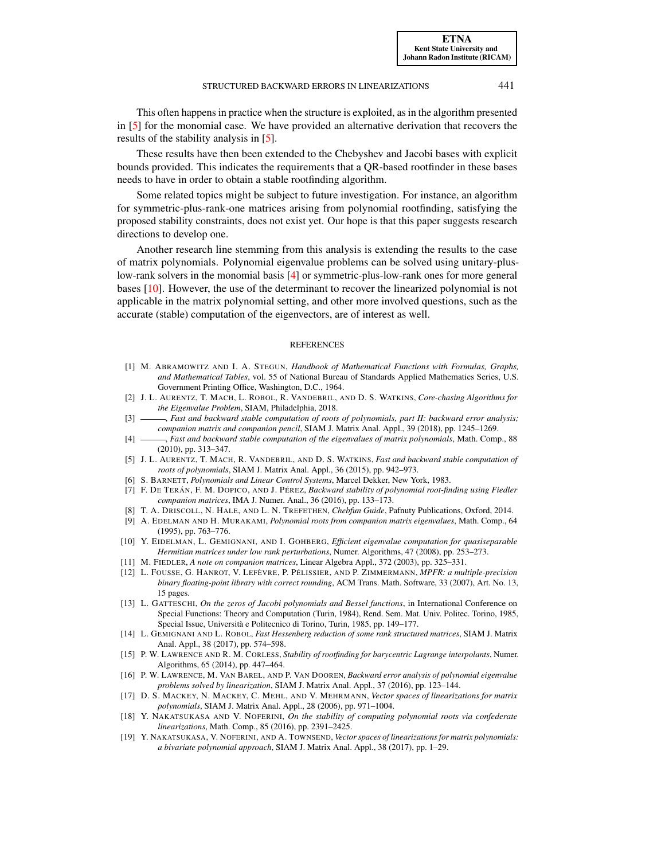This often happens in practice when the structure is exploited, as in the algorithm presented in [\[5\]](#page-21-7) for the monomial case. We have provided an alternative derivation that recovers the results of the stability analysis in [\[5\]](#page-21-7).

These results have then been extended to the Chebyshev and Jacobi bases with explicit bounds provided. This indicates the requirements that a QR-based rootfinder in these bases needs to have in order to obtain a stable rootfinding algorithm.

Some related topics might be subject to future investigation. For instance, an algorithm for symmetric-plus-rank-one matrices arising from polynomial rootfinding, satisfying the proposed stability constraints, does not exist yet. Our hope is that this paper suggests research directions to develop one.

Another research line stemming from this analysis is extending the results to the case of matrix polynomials. Polynomial eigenvalue problems can be solved using unitary-pluslow-rank solvers in the monomial basis [\[4\]](#page-21-17) or symmetric-plus-low-rank ones for more general bases [\[10\]](#page-21-18). However, the use of the determinant to recover the linearized polynomial is not applicable in the matrix polynomial setting, and other more involved questions, such as the accurate (stable) computation of the eigenvectors, are of interest as well.

#### **REFERENCES**

- <span id="page-21-14"></span>[1] M. ABRAMOWITZ AND I. A. STEGUN, *Handbook of Mathematical Functions with Formulas, Graphs, and Mathematical Tables*, vol. 55 of National Bureau of Standards Applied Mathematics Series, U.S. Government Printing Office, Washington, D.C., 1964.
- <span id="page-21-9"></span>[2] J. L. AURENTZ, T. MACH, L. ROBOL, R. VANDEBRIL, AND D. S. WATKINS, *Core-chasing Algorithms for the Eigenvalue Problem*, SIAM, Philadelphia, 2018.
- <span id="page-21-6"></span>[3] , *Fast and backward stable computation of roots of polynomials, part II: backward error analysis; companion matrix and companion pencil*, SIAM J. Matrix Anal. Appl., 39 (2018), pp. 1245–1269.
- <span id="page-21-17"></span>[4] , *Fast and backward stable computation of the eigenvalues of matrix polynomials*, Math. Comp., 88 (2010), pp. 313–347.
- <span id="page-21-7"></span>[5] J. L. AURENTZ, T. MACH, R. VANDEBRIL, AND D. S. WATKINS, *Fast and backward stable computation of roots of polynomials*, SIAM J. Matrix Anal. Appl., 36 (2015), pp. 942–973.
- <span id="page-21-10"></span>[6] S. BARNETT, *Polynomials and Linear Control Systems*, Marcel Dekker, New York, 1983.
- <span id="page-21-1"></span>[7] F. DE TERÁN, F. M. DOPICO, AND J. PÉREZ, *Backward stability of polynomial root-finding using Fiedler companion matrices*, IMA J. Numer. Anal., 36 (2016), pp. 133–173.
- <span id="page-21-13"></span>[8] T. A. DRISCOLL, N. HALE, AND L. N. TREFETHEN, *Chebfun Guide*, Pafnuty Publications, Oxford, 2014.
- <span id="page-21-0"></span>[9] A. EDELMAN AND H. MURAKAMI, *Polynomial roots from companion matrix eigenvalues*, Math. Comp., 64 (1995), pp. 763–776.
- <span id="page-21-18"></span>[10] Y. EIDELMAN, L. GEMIGNANI, AND I. GOHBERG, *Efficient eigenvalue computation for quasiseparable Hermitian matrices under low rank perturbations*, Numer. Algorithms, 47 (2008), pp. 253–273.
- <span id="page-21-2"></span>[11] M. FIEDLER, *A note on companion matrices*, Linear Algebra Appl., 372 (2003), pp. 325–331.
- <span id="page-21-15"></span>[12] L. FOUSSE, G. HANROT, V. LEFÈVRE, P. PÉLISSIER, AND P. ZIMMERMANN, *MPFR: a multiple-precision binary floating-point library with correct rounding*, ACM Trans. Math. Software, 33 (2007), Art. No. 13, 15 pages.
- <span id="page-21-16"></span>[13] L. GATTESCHI, *On the zeros of Jacobi polynomials and Bessel functions*, in International Conference on Special Functions: Theory and Computation (Turin, 1984), Rend. Sem. Mat. Univ. Politec. Torino, 1985, Special Issue, Università e Politecnico di Torino, Turin, 1985, pp. 149–177.
- <span id="page-21-8"></span>[14] L. GEMIGNANI AND L. ROBOL, *Fast Hessenberg reduction of some rank structured matrices*, SIAM J. Matrix Anal. Appl., 38 (2017), pp. 574–598.
- <span id="page-21-4"></span>[15] P. W. LAWRENCE AND R. M. CORLESS, *Stability of rootfinding for barycentric Lagrange interpolants*, Numer. Algorithms, 65 (2014), pp. 447–464.
- <span id="page-21-5"></span>[16] P. W. LAWRENCE, M. VAN BAREL, AND P. VAN DOOREN, *Backward error analysis of polynomial eigenvalue problems solved by linearization*, SIAM J. Matrix Anal. Appl., 37 (2016), pp. 123–144.
- <span id="page-21-11"></span>[17] D. S. MACKEY, N. MACKEY, C. MEHL, AND V. MEHRMANN, *Vector spaces of linearizations for matrix polynomials*, SIAM J. Matrix Anal. Appl., 28 (2006), pp. 971–1004.
- <span id="page-21-3"></span>[18] Y. NAKATSUKASA AND V. NOFERINI, *On the stability of computing polynomial roots via confederate linearizations*, Math. Comp., 85 (2016), pp. 2391–2425.
- <span id="page-21-12"></span>[19] Y. NAKATSUKASA, V. NOFERINI, AND A. TOWNSEND, *Vector spaces of linearizations for matrix polynomials: a bivariate polynomial approach*, SIAM J. Matrix Anal. Appl., 38 (2017), pp. 1–29.